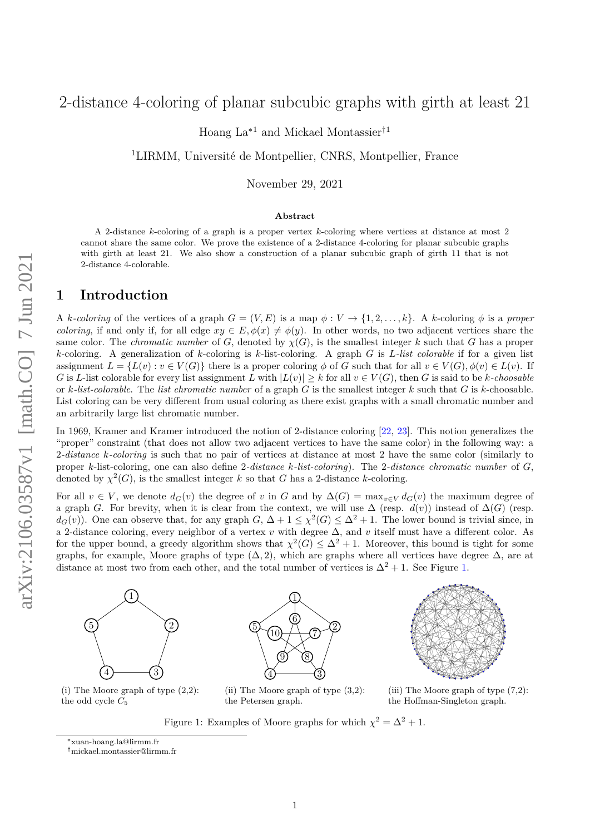# 2-distance 4-coloring of planar subcubic graphs with girth at least 21

Hoang La<sup> $*1$ </sup> and Mickael Montassier<sup>†1</sup>

<sup>1</sup>LIRMM, Université de Montpellier, CNRS, Montpellier, France

November 29, 2021

#### **Abstract**

A 2-distance *k*-coloring of a graph is a proper vertex *k*-coloring where vertices at distance at most 2 cannot share the same color. We prove the existence of a 2-distance 4-coloring for planar subcubic graphs with girth at least 21. We also show a construction of a planar subcubic graph of girth 11 that is not 2-distance 4-colorable.

## **1 Introduction**

A *k*-coloring of the vertices of a graph  $G = (V, E)$  is a map  $\phi : V \to \{1, 2, \ldots, k\}$ . A *k*-coloring  $\phi$  is a proper *coloring*, if and only if, for all edge  $xy \in E$ ,  $\phi(x) \neq \phi(y)$ . In other words, no two adjacent vertices share the same color. The *chromatic number* of *G*, denoted by  $\chi(G)$ , is the smallest integer *k* such that *G* has a proper *k*-coloring. A generalization of *k*-coloring is *k*-list-coloring. A graph *G* is *L-list colorable* if for a given list assignment  $L = \{L(v) : v \in V(G)\}$  there is a proper coloring  $\phi$  of *G* such that for all  $v \in V(G), \phi(v) \in L(v)$ . If *G* is *L*-list colorable for every list assignment *L* with  $|L(v)| \geq k$  for all  $v \in V(G)$ , then *G* is said to be *k*-choosable or *k-list-colorable*. The *list chromatic number* of a graph *G* is the smallest integer *k* such that *G* is *k*-choosable. List coloring can be very different from usual coloring as there exist graphs with a small chromatic number and an arbitrarily large list chromatic number.

In 1969, Kramer and Kramer introduced the notion of 2-distance coloring [\[22,](#page-19-0) [23\]](#page-19-1). This notion generalizes the "proper" constraint (that does not allow two adjacent vertices to have the same color) in the following way: a 2*-distance k-coloring* is such that no pair of vertices at distance at most 2 have the same color (similarly to proper *k*-list-coloring, one can also define 2*-distance k-list-coloring*). The 2*-distance chromatic number* of *G*, denoted by  $\chi^2(G)$ , is the smallest integer *k* so that *G* has a 2-distance *k*-coloring.

For all  $v \in V$ , we denote  $d_G(v)$  the degree of *v* in *G* and by  $\Delta(G) = \max_{v \in V} d_G(v)$  the maximum degree of a graph *G*. For brevity, when it is clear from the context, we will use  $\Delta$  (resp. *d*(*v*)) instead of  $\Delta(G)$  (resp.  $d_G(v)$ ). One can observe that, for any graph  $G$ ,  $\Delta + 1 \leq \chi^2(G) \leq \Delta^2 + 1$ . The lower bound is trivial since, in a 2-distance coloring, every neighbor of a vertex *v* with degree ∆, and *v* itself must have a different color. As for the upper bound, a greedy algorithm shows that  $\chi^2(G) \leq \Delta^2 + 1$ . Moreover, this bound is tight for some graphs, for example, Moore graphs of type  $(\Delta, 2)$ , which are graphs where all vertices have degree  $\Delta$ , are at distance at most two from each other, and the total number of vertices is  $\Delta^2 + 1$ . See Figure [1.](#page-0-0)

<span id="page-0-0"></span>1 2  $4 \rightarrow 4$ 5

(i) The Moore graph of type  $(2,2)$ : the odd cycle  $C_5$ 



(ii) The Moore graph of type (3,2): the Petersen graph.



(iii) The Moore graph of type (7,2): the Hoffman-Singleton graph.

Figure 1: Examples of Moore graphs for which  $\chi^2 = \Delta^2 + 1$ .

<sup>∗</sup>xuan-hoang.la@lirmm.fr

<sup>†</sup>mickael.montassier@lirmm.fr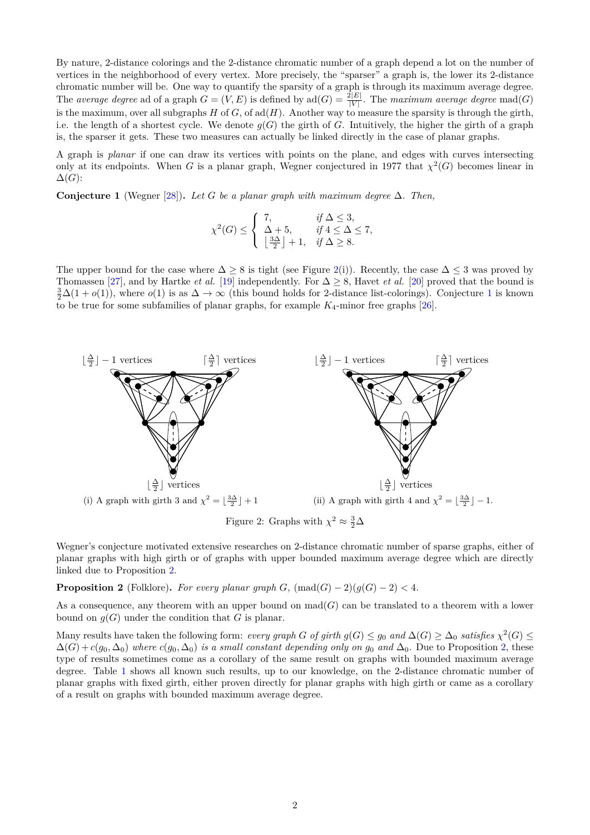By nature, 2-distance colorings and the 2-distance chromatic number of a graph depend a lot on the number of vertices in the neighborhood of every vertex. More precisely, the "sparser" a graph is, the lower its 2-distance chromatic number will be. One way to quantify the sparsity of a graph is through its maximum average degree. The *average* degree ad of a graph  $G = (V, E)$  is defined by  $\text{ad}(G) = \frac{2|E|}{|V|}$ . The *maximum average degree*  $\text{mad}(G)$ is the maximum, over all subgraphs *H* of *G*, of ad(*H*). Another way to measure the sparsity is through the girth, i.e. the length of a shortest cycle. We denote  $g(G)$  the girth of *G*. Intuitively, the higher the girth of a graph is, the sparser it gets. These two measures can actually be linked directly in the case of planar graphs.

A graph is *planar* if one can draw its vertices with points on the plane, and edges with curves intersecting only at its endpoints. When *G* is a planar graph, Wegner conjectured in 1977 that  $\chi^2(G)$  becomes linear in  $\Delta(G)$ :

<span id="page-1-1"></span>**Conjecture 1** (Wegner [\[28\]](#page-20-0)). Let *G* be a planar graph with maximum degree  $\Delta$ . Then,

$$
\chi^2(G) \le \begin{cases} \n7, & \text{if } \Delta \le 3, \\ \n\Delta + 5, & \text{if } 4 \le \Delta \le 7, \\ \n\left\lfloor \frac{3\Delta}{2} \right\rfloor + 1, & \text{if } \Delta \ge 8. \n\end{cases}
$$

The upper bound for the case where  $\Delta \geq 8$  is tight (see Figure [2\(](#page-1-0)i)). Recently, the case  $\Delta \leq 3$  was proved by Thomassen [\[27\]](#page-19-2), and by Hartke *et al.* [\[19\]](#page-19-3) independently. For  $\Delta \geq 8$ , Havet *et al.* [\[20\]](#page-19-4) proved that the bound is  $\frac{3}{2}\Delta(1+o(1))$  $\frac{3}{2}\Delta(1+o(1))$  $\frac{3}{2}\Delta(1+o(1))$ , where  $o(1)$  is as  $\Delta \to \infty$  (this bound holds for 2-distance list-colorings). Conjecture 1 is known to be true for some subfamilies of planar graphs, for example  $K_4$ -minor free graphs [\[26\]](#page-19-5).

<span id="page-1-0"></span>

Figure 2: Graphs with  $\chi^2 \approx \frac{3}{2}\Delta$ 

Wegner's conjecture motivated extensive researches on 2-distance chromatic number of sparse graphs, either of planar graphs with high girth or of graphs with upper bounded maximum average degree which are directly linked due to Proposition [2.](#page-1-2)

<span id="page-1-2"></span>**Proposition 2** (Folklore)**.** *For every planar graph G*,  $(\text{mad}(G) - 2)(g(G) - 2) < 4$ *.* 

As a consequence, any theorem with an upper bound on  $\text{mad}(G)$  can be translated to a theorem with a lower bound on  $q(G)$  under the condition that *G* is planar.

Many results have taken the following form: *every graph G* of girth  $g(G) \le g_0$  and  $\Delta(G) \ge \Delta_0$  satisfies  $\chi^2(G) \le$  $\Delta(G) + c(g_0, \Delta_0)$  where  $c(g_0, \Delta_0)$  *is a small constant depending only on*  $g_0$  *and*  $\Delta_0$ . Due to Proposition [2,](#page-1-2) these type of results sometimes come as a corollary of the same result on graphs with bounded maximum average degree. Table [1](#page-2-0) shows all known such results, up to our knowledge, on the 2-distance chromatic number of planar graphs with fixed girth, either proven directly for planar graphs with high girth or came as a corollary of a result on graphs with bounded maximum average degree.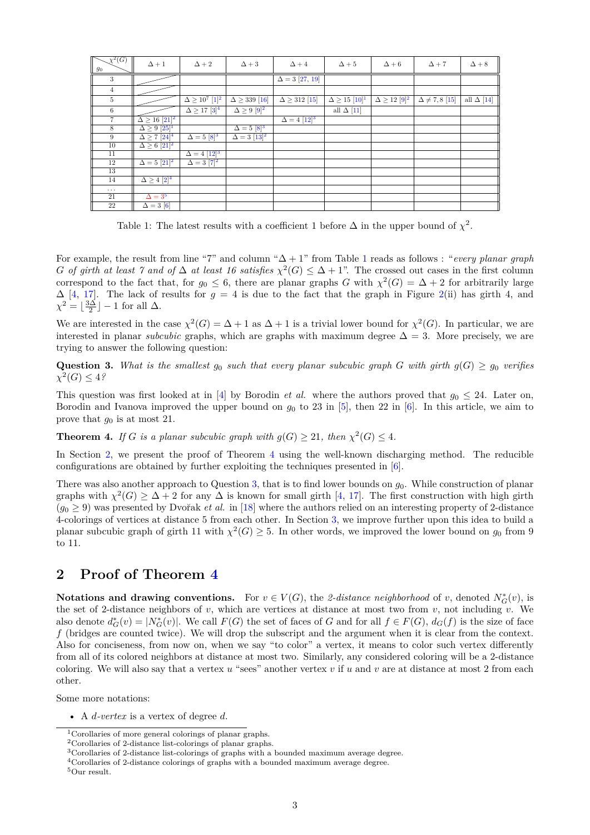<span id="page-2-0"></span>

| $\overline{\chi^2(G)}$<br>$\mathfrak{g}_0$ | $\Delta+1$                          | $\Delta + 2$                          | $\Delta + 3$                     | $\Delta + 4$           | $\Delta + 5$              | $\Delta + 6$              | $\Delta + 7$            | $\Delta + 8$      |
|--------------------------------------------|-------------------------------------|---------------------------------------|----------------------------------|------------------------|---------------------------|---------------------------|-------------------------|-------------------|
| 3                                          |                                     |                                       |                                  | $\Delta = 3$ [27, 19]  |                           |                           |                         |                   |
| $\overline{4}$                             |                                     |                                       |                                  |                        |                           |                           |                         |                   |
| $5\phantom{.0}$                            |                                     | $\overline{\Delta \geq 10^7 \ [1]^2}$ | $\Delta \geq 339$ [16]           | $\Delta \geq 312$ [15] | $\Delta \ge 15 \; [10]^1$ | $\Delta \geq 12 \; [9]^2$ | $\Delta \neq 7, 8$ [15] | all $\Delta$ [14] |
| 6                                          |                                     | $\Delta \geq 17 [3]^4$                | $\Delta \geq 9$ [9] <sup>2</sup> |                        | all $\Delta$ [11]         |                           |                         |                   |
| $\overline{7}$                             | $\Delta \ge 16 [21]^2$              |                                       |                                  | $\Delta = 4 [12]^{3}$  |                           |                           |                         |                   |
| 8                                          | $\Delta \geq 9$ [25] <sup>1</sup>   |                                       | $\Delta = 5$ [8] <sup>3</sup>    |                        |                           |                           |                         |                   |
| 9                                          | $\Delta \geq 7$ $[24]$ <sup>4</sup> | $\Delta = 5 \; [8]^3$                 | $\Delta = 3$ [13] <sup>2</sup>   |                        |                           |                           |                         |                   |
| 10                                         | $\Delta \geq 6$ [21] <sup>2</sup>   |                                       |                                  |                        |                           |                           |                         |                   |
| 11                                         |                                     | $\Delta = 4 [12]^{3}$                 |                                  |                        |                           |                           |                         |                   |
| 12                                         | $\Delta = 5$ [21] <sup>2</sup>      | $\Delta = 3  7 ^2$                    |                                  |                        |                           |                           |                         |                   |
| 13                                         |                                     |                                       |                                  |                        |                           |                           |                         |                   |
| 14                                         | $\Delta \geq 4$ $[2]^4$             |                                       |                                  |                        |                           |                           |                         |                   |
| $\cdots$                                   |                                     |                                       |                                  |                        |                           |                           |                         |                   |
| 21                                         | $\Delta = 3^5$                      |                                       |                                  |                        |                           |                           |                         |                   |
| $\overline{22}$                            | $\overline{\Delta} = 3$ [6]         |                                       |                                  |                        |                           |                           |                         |                   |

Table 1: The latest results with a coefficient 1 before  $\Delta$  in the upper bound of  $\chi^2$ .

For example, the result from line "7" and column "∆ + 1" from Table [1](#page-2-0) reads as follows : "*every planar graph G of girth at least 7 and of*  $\Delta$  *at least 16 satisfies*  $\chi^2(G) \leq \Delta + 1$ ". The crossed out cases in the first column correspond to the fact that, for  $g_0 \leq 6$ , there are planar graphs *G* with  $\chi^2(G) = \Delta + 2$  for arbitrarily large  $\Delta$  [\[4,](#page-19-20) [17\]](#page-19-21). The lack of results for  $g = 4$  is due to the fact that the graph in Figure [2\(](#page-1-0)ii) has girth 4, and  $\chi^2 = \lfloor \frac{3\Delta}{2} \rfloor - 1$  for all  $\Delta$ .

We are interested in the case  $\chi^2(G) = \Delta + 1$  as  $\Delta + 1$  is a trivial lower bound for  $\chi^2(G)$ . In particular, we are interested in planar *subcubic* graphs, which are graphs with maximum degree  $\Delta = 3$ . More precisely, we are trying to answer the following question:

<span id="page-2-8"></span>**Question 3.** What is the smallest  $g_0$  such that every planar subcubic graph *G* with girth  $g(G) \geq g_0$  verifies  $\chi^2(G) \leq 4$ ?

This question was first looked at in [\[4\]](#page-19-20) by Borodin *et al.* where the authors proved that  $g_0 \leq 24$ . Later on, Borodin and Ivanova improved the upper bound on  $g_0$  to 23 in [\[5\]](#page-19-22), then 22 in [\[6\]](#page-19-19). In this article, we aim to prove that  $g_0$  is at most 21.

<span id="page-2-7"></span>**Theorem 4.** *If G is a planar subcubic graph with*  $g(G) \geq 21$ *, then*  $\chi^2(G) \leq 4$ *.* 

In Section [2,](#page-2-6) we present the proof of Theorem [4](#page-2-7) using the well-known discharging method. The reducible configurations are obtained by further exploiting the techniques presented in [\[6\]](#page-19-19).

There was also another approach to Question [3,](#page-2-8) that is to find lower bounds on *g*0. While construction of planar graphs with  $\chi^2(G) \geq \Delta + 2$  for any  $\Delta$  is known for small girth [\[4,](#page-19-20) [17\]](#page-19-21). The first construction with high girth  $(q_0 \geq 9)$  was presented by Dvořak *et al.* in [\[18\]](#page-19-23) where the authors relied on an interesting property of 2-distance 4-colorings of vertices at distance 5 from each other. In Section [3,](#page-15-0) we improve further upon this idea to build a planar subcubic graph of girth 11 with  $\chi^2(G) \geq 5$ . In other words, we improved the lower bound on  $g_0$  from 9 to 11.

## <span id="page-2-6"></span>**2 Proof of Theorem [4](#page-2-7)**

**Notations and drawing conventions.** For  $v \in V(G)$ , the 2-distance neighborhood of *v*, denoted  $N_G^*(v)$ , is the set of 2-distance neighbors of  $v$ , which are vertices at distance at most two from  $v$ , not including  $v$ . We also denote  $d_G^*(v) = |N_G^*(v)|$ . We call  $F(G)$  the set of faces of *G* and for all  $f \in F(G)$ ,  $d_G(f)$  is the size of face *f* (bridges are counted twice). We will drop the subscript and the argument when it is clear from the context. Also for conciseness, from now on, when we say "to color" a vertex, it means to color such vertex differently from all of its colored neighbors at distance at most two. Similarly, any considered coloring will be a 2-distance coloring. We will also say that a vertex  $u$  "sees" another vertex  $v$  if  $u$  and  $v$  are at distance at most 2 from each other.

Some more notations:

<sup>•</sup> A *d-vertex* is a vertex of degree *d*.

<span id="page-2-2"></span><sup>&</sup>lt;sup>1</sup>Corollaries of more general colorings of planar graphs.

<span id="page-2-1"></span><sup>2</sup>Corollaries of 2-distance list-colorings of planar graphs.

<span id="page-2-4"></span><sup>3</sup>Corollaries of 2-distance list-colorings of graphs with a bounded maximum average degree.

<span id="page-2-3"></span><sup>4</sup>Corollaries of 2-distance colorings of graphs with a bounded maximum average degree.

<span id="page-2-5"></span><sup>5</sup>Our result.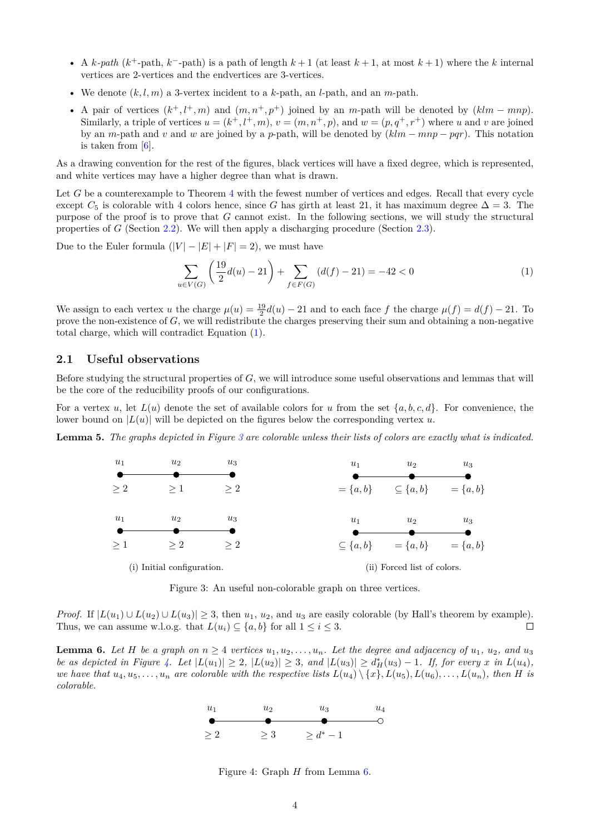- A  $k$ -path ( $k$ <sup>+</sup>-path,  $k$ <sup>-</sup>-path) is a path of length  $k+1$  (at least  $k+1$ , at most  $k+1$ ) where the  $k$  internal vertices are 2-vertices and the endvertices are 3-vertices.
- We denote  $(k, l, m)$  a 3-vertex incident to a  $k$ -path, an  $l$ -path, and an  $m$ -path.
- A pair of vertices  $(k^+, l^+, m)$  and  $(m, n^+, p^+)$  joined by an *m*-path will be denoted by  $(klm mnp)$ . Similarly, a triple of vertices  $u = (k^+, l^+, m)$ ,  $v = (m, n^+, p)$ , and  $w = (p, q^+, r^+)$  where *u* and *v* are joined by an *m*-path and *v* and *w* are joined by a *p*-path, will be denoted by (*klm* − *mnp* − *pqr*). This notation is taken from  $[6]$ .

As a drawing convention for the rest of the figures, black vertices will have a fixed degree, which is represented, and white vertices may have a higher degree than what is drawn.

Let G be a counterexample to Theorem [4](#page-2-7) with the fewest number of vertices and edges. Recall that every cycle except  $C_5$  is colorable with 4 colors hence, since *G* has girth at least 21, it has maximum degree  $\Delta = 3$ . The purpose of the proof is to prove that *G* cannot exist. In the following sections, we will study the structural properties of *G* (Section [2.2\)](#page-6-0). We will then apply a discharging procedure (Section [2.3\)](#page-10-0).

Due to the Euler formula  $(|V| - |E| + |F| = 2)$ , we must have

<span id="page-3-0"></span>
$$
\sum_{u \in V(G)} \left(\frac{19}{2}d(u) - 21\right) + \sum_{f \in F(G)} (d(f) - 21) = -42 < 0 \tag{1}
$$

We assign to each vertex *u* the charge  $\mu(u) = \frac{19}{2}d(u) - 21$  and to each face *f* the charge  $\mu(f) = d(f) - 21$ . To prove the non-existence of *G*, we will redistribute the charges preserving their sum and obtaining a non-negative total charge, which will contradict Equation [\(1\)](#page-3-0).

### **2.1 Useful observations**

Before studying the structural properties of *G*, we will introduce some useful observations and lemmas that will be the core of the reducibility proofs of our configurations.

For a vertex *u*, let  $L(u)$  denote the set of available colors for *u* from the set  $\{a, b, c, d\}$ . For convenience, the lower bound on  $|L(u)|$  will be depicted on the figures below the corresponding vertex *u*.

<span id="page-3-4"></span><span id="page-3-1"></span>**Lemma 5.** *The graphs depicted in Figure [3](#page-3-1) are colorable unless their lists of colors are exactly what is indicated.*



Figure 3: An useful non-colorable graph on three vertices.

*Proof.* If  $|L(u_1) \cup L(u_2) \cup L(u_3)| \geq 3$ , then  $u_1, u_2$ , and  $u_3$  are easily colorable (by Hall's theorem by example). Thus, we can assume w.l.o.g. that  $L(u_i) \subseteq \{a, b\}$  for all  $1 \leq i \leq 3$ .  $\Box$ 

<span id="page-3-3"></span><span id="page-3-2"></span>**Lemma 6.** Let *H* be a graph on  $n \geq 4$  vertices  $u_1, u_2, \ldots, u_n$ . Let the degree and adjacency of  $u_1, u_2,$  and  $u_3$ be as depicted in Figure [4.](#page-3-2) Let  $|L(u_1)| \geq 2$ ,  $|L(u_2)| \geq 3$ , and  $|L(u_3)| \geq d^*_H(u_3) - 1$ . If, for every x in  $L(u_4)$ , we have that  $u_4, u_5, \ldots, u_n$  are colorable with the respective lists  $L(u_4) \setminus \{x\}, L(u_5), L(u_6), \ldots, L(u_n)$ , then H is *colorable.*



Figure 4: Graph *H* from Lemma [6.](#page-3-3)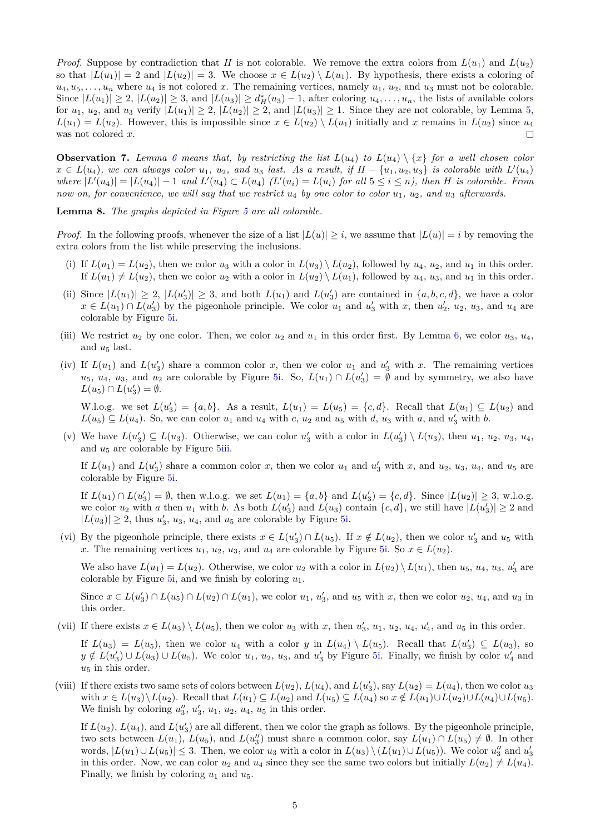*Proof.* Suppose by contradiction that *H* is not colorable. We remove the extra colors from  $L(u_1)$  and  $L(u_2)$ so that  $|L(u_1)| = 2$  and  $|L(u_2)| = 3$ . We choose  $x \in L(u_2) \setminus L(u_1)$ . By hypothesis, there exists a coloring of  $u_4, u_5, \ldots, u_n$  where  $u_4$  is not colored *x*. The remaining vertices, namely  $u_1, u_2$ , and  $u_3$  must not be colorable. Since  $|L(u_1)| \geq 2$ ,  $|L(u_2)| \geq 3$ , and  $|L(u_3)| \geq d_H^*(u_3) - 1$ , after coloring  $u_4, \ldots, u_n$ , the lists of available colors for  $u_1, u_2$ , and  $u_3$  verify  $|L(u_1)| \geq 2$ ,  $|L(u_2)| \geq 2$ , and  $|L(u_3)| \geq 1$ . Since they are not colorable, by Lemma [5,](#page-3-4)  $L(u_1) = L(u_2)$ . However, this is impossible since  $x \in L(u_2) \setminus L(u_1)$  initially and *x* remains in  $L(u_2)$  since  $u_4$ was not colored *x*.  $\Box$ 

**Observation 7.** *Lemma* [6](#page-3-3) means that, by restricting the list  $L(u_4)$  to  $L(u_4) \setminus \{x\}$  for a well chosen color  $x \in L(u_4)$ , we can always color  $u_1, u_2,$  and  $u_3$  last. As a result, if  $H - \{u_1, u_2, u_3\}$  is colorable with  $L'(u_4)$ where  $|L'(u_4)| = |L(u_4)| - 1$  and  $L'(u_4) \subset L(u_4)$   $(L'(u_i) = L(u_i)$  for all  $5 \le i \le n$ , then H is colorable. From *now on, for convenience, we will say that we restrict u*<sup>4</sup> *by one color to color u*1*, u*2*, and u*<sup>3</sup> *afterwards.*

<span id="page-4-0"></span>**Lemma 8.** *The graphs depicted in Figure [5](#page-5-0) are all colorable.*

*Proof.* In the following proofs, whenever the size of a list  $|L(u)| \geq i$ , we assume that  $|L(u)| = i$  by removing the extra colors from the list while preserving the inclusions.

- (i) If  $L(u_1) = L(u_2)$ , then we color  $u_3$  with a color in  $L(u_3) \setminus L(u_2)$ , followed by  $u_4$ ,  $u_2$ , and  $u_1$  in this order. If  $L(u_1) \neq L(u_2)$ , then we color  $u_2$  with a color in  $L(u_2) \setminus L(u_1)$ , followed by  $u_4$ ,  $u_3$ , and  $u_1$  in this order.
- (ii) Since  $|L(u_1)| \geq 2$ ,  $|L(u_2')| \geq 3$ , and both  $L(u_1)$  and  $L(u_2')$  are contained in  $\{a, b, c, d\}$ , we have a color  $x \in L(u_1) \cap L(u_3')$  by the pigeonhole principle. We color  $u_1$  and  $u_3'$  with *x*, then  $u_2', u_2, u_3$ , and  $u_4$  are colorable by Figure [5i.](#page-5-0)
- (iii) We restrict  $u_2$  by one color. Then, we color  $u_2$  and  $u_1$  in this order first. By Lemma [6,](#page-3-3) we color  $u_3$ ,  $u_4$ , and  $u_5$  last.
- (iv) If  $L(u_1)$  and  $L(u_2')$  share a common color *x*, then we color  $u_1$  and  $u_3'$  with *x*. The remaining vertices  $u_5$ ,  $u_4$ ,  $u_3$ , and  $u_2$  are colorable by Figure [5i.](#page-5-0) So,  $L(u_1) \cap L(u_3') = \emptyset$  and by symmetry, we also have  $L(u_5) \cap L(u'_3) = \emptyset.$

W.l.o.g. we set  $L(u_3') = \{a, b\}$ . As a result,  $L(u_1) = L(u_5) = \{c, d\}$ . Recall that  $L(u_1) \subseteq L(u_2)$  and  $L(u_5) \subseteq L(u_4)$ . So, we can color  $u_1$  and  $u_4$  with *c*,  $u_2$  and  $u_5$  with *d*,  $u_3$  with *a*, and  $u'_3$  with *b*.

(v) We have  $L(u_3') \subseteq L(u_3)$ . Otherwise, we can color  $u_3'$  with a color in  $L(u_3') \setminus L(u_3)$ , then  $u_1, u_2, u_3, u_4$ , and  $u_5$  are colorable by Figure [5iii.](#page-5-0)

If  $L(u_1)$  and  $L(u_3')$  share a common color *x*, then we color  $u_1$  and  $u_3'$  with *x*, and  $u_2$ ,  $u_3$ ,  $u_4$ , and  $u_5$  are colorable by Figure [5i.](#page-5-0)

If  $L(u_1) \cap L(u_3') = \emptyset$ , then w.l.o.g. we set  $L(u_1) = \{a, b\}$  and  $L(u_3') = \{c, d\}$ . Since  $|L(u_2)| \ge 3$ , w.l.o.g. we color  $u_2$  with *a* then  $u_1$  with *b*. As both  $L(u_3')$  and  $L(u_3)$  contain  $\{c, d\}$ , we still have  $|L(u_3')| \geq 2$  and  $|L(u_3)| \geq 2$ , thus  $u'_3$ ,  $u_3$ ,  $u_4$ , and  $u_5$  are colorable by Figure [5i.](#page-5-0)

(vi) By the pigeonhole principle, there exists  $x \in L(u_3') \cap L(u_5)$ . If  $x \notin L(u_2)$ , then we color  $u_3'$  and  $u_5$  with *x*. The remaining vertices  $u_1, u_2, u_3$ , and  $u_4$  are colorable by Figure [5i.](#page-5-0) So  $x \in L(u_2)$ .

We also have  $L(u_1) = L(u_2)$ . Otherwise, we color  $u_2$  with a color in  $L(u_2) \setminus L(u_1)$ , then  $u_5, u_4, u_3, u'_3$  are colorable by Figure  $5i$ , and we finish by coloring  $u_1$ .

Since  $x \in L(u_3') \cap L(u_5) \cap L(u_2) \cap L(u_1)$ , we color  $u_1, u_3'$ , and  $u_5$  with *x*, then we color  $u_2, u_4$ , and  $u_3$  in this order.

(vii) If there exists  $x \in L(u_3) \setminus L(u_5)$ , then we color  $u_3$  with  $x$ , then  $u'_3$ ,  $u_1$ ,  $u_2$ ,  $u_4$ ,  $u'_4$ , and  $u_5$  in this order. If  $L(u_3) = L(u_5)$ , then we color  $u_4$  with a color *y* in  $L(u_4) \setminus L(u_5)$ . Recall that  $L(u_3') \subseteq L(u_3)$ , so

 $y \notin L(u_3') \cup L(u_3) \cup L(u_5)$ . We color  $u_1, u_2, u_3$ , and  $u_3'$  by Figure [5i.](#page-5-0) Finally, we finish by color  $u_4'$  and  $u_5$  in this order.

(viii) If there exists two same sets of colors between  $L(u_2)$ ,  $L(u_4)$ , and  $L(u'_3)$ , say  $L(u_2) = L(u_4)$ , then we color  $u_3$ with  $x \in L(u_3) \setminus L(u_2)$ . Recall that  $L(u_1) \subseteq L(u_2)$  and  $L(u_5) \subseteq L(u_4)$  so  $x \notin L(u_1) \cup L(u_2) \cup L(u_4) \cup L(u_5)$ . We finish by coloring  $u''_3$ ,  $u'_3$ ,  $u_1$ ,  $u_2$ ,  $u_4$ ,  $u_5$  in this order.

If  $L(u_2)$ ,  $L(u_4)$ , and  $L(u_3)$  are all different, then we color the graph as follows. By the pigeonhole principle, two sets between  $L(u_1)$ ,  $L(u_5)$ , and  $L(u''_3)$  must share a common color, say  $L(u_1) \cap L(u_5) \neq \emptyset$ . In other words,  $|L(u_1) \cup L(u_5)|$  ≤ 3. Then, we color  $u_3$  with a color in  $L(u_3) \setminus (L(u_1) \cup L(u_5))$ . We color  $u''_3$  and  $u'_3$ in this order. Now, we can color  $u_2$  and  $u_4$  since they see the same two colors but initially  $L(u_2) \neq L(u_4)$ . Finally, we finish by coloring  $u_1$  and  $u_5$ .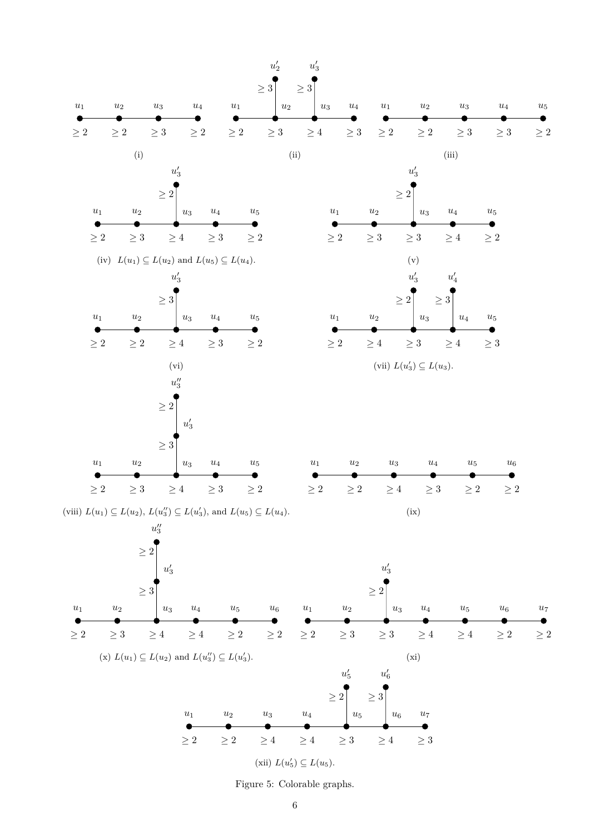<span id="page-5-0"></span>

Figure 5: Colorable graphs.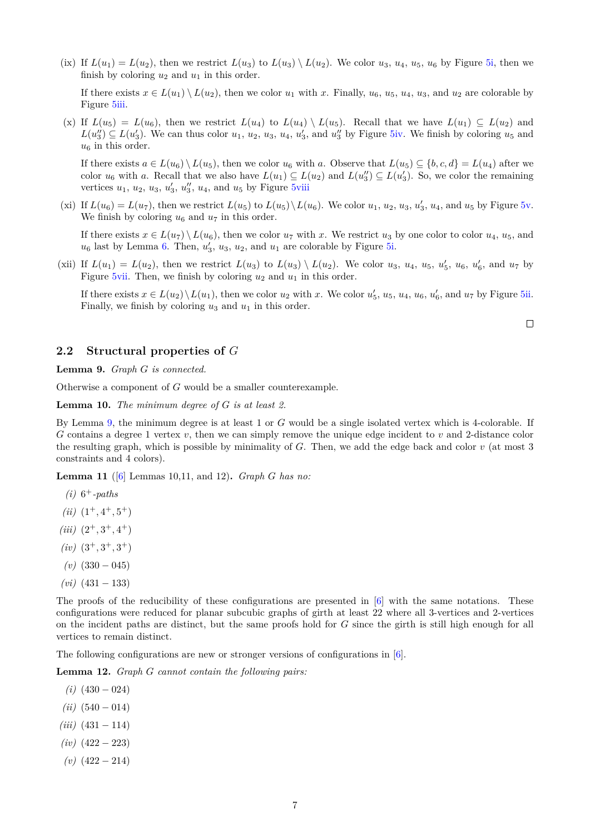(ix) If  $L(u_1) = L(u_2)$ , then we restrict  $L(u_3)$  to  $L(u_3) \setminus L(u_2)$ . We color  $u_3, u_4, u_5, u_6$  by Figure [5i,](#page-5-0) then we finish by coloring  $u_2$  and  $u_1$  in this order.

If there exists  $x \in L(u_1) \setminus L(u_2)$ , then we color  $u_1$  with  $x$ . Finally,  $u_6$ ,  $u_5$ ,  $u_4$ ,  $u_3$ , and  $u_2$  are colorable by Figure [5iii.](#page-5-0)

(x) If  $L(u_5) = L(u_6)$ , then we restrict  $L(u_4)$  to  $L(u_4) \setminus L(u_5)$ . Recall that we have  $L(u_1) \subseteq L(u_2)$  and  $L(u''_3) \subseteq L(u'_3)$ . We can thus color  $u_1, u_2, u_3, u_4, u'_3$ , and  $u''_3$  by Figure [5iv.](#page-5-0) We finish by coloring  $u_5$  and  $u_6$  in this order.

If there exists  $a \in L(u_6) \setminus L(u_5)$ , then we color  $u_6$  with a. Observe that  $L(u_5) \subseteq \{b, c, d\} = L(u_4)$  after we color  $u_6$  with *a*. Recall that we also have  $L(u_1) \subseteq L(u_2)$  and  $L(u''_3) \subseteq L(u'_3)$ . So, we color the remaining vertices  $u_1$ ,  $u_2$ ,  $u_3$ ,  $u_3'$ ,  $u_3''$ ,  $u_4$ , and  $u_5$  by Figure [5viii](#page-5-0)

(xi) If  $L(u_6) = L(u_7)$ , then we restrict  $L(u_5)$  to  $L(u_5) \setminus L(u_6)$ . We color  $u_1, u_2, u_3, u'_3, u_4$ , and  $u_5$  by Figure [5v.](#page-5-0) We finish by coloring  $u_6$  and  $u_7$  in this order.

If there exists  $x \in L(u_7) \setminus L(u_6)$ , then we color  $u_7$  with x. We restrict  $u_3$  by one color to color  $u_4, u_5$ , and  $u_6$  last by Lemma [6.](#page-3-3) Then,  $u'_3$ ,  $u_3$ ,  $u_2$ , and  $u_1$  are colorable by Figure [5i.](#page-5-0)

(xii) If  $L(u_1) = L(u_2)$ , then we restrict  $L(u_3)$  to  $L(u_3) \setminus L(u_2)$ . We color  $u_3$ ,  $u_4$ ,  $u_5$ ,  $u'_5$ ,  $u_6$ ,  $u'_6$ , and  $u_7$  by Figure [5vii.](#page-5-0) Then, we finish by coloring  $u_2$  and  $u_1$  in this order.

If there exists  $x \in L(u_2) \setminus L(u_1)$ , then we color  $u_2$  with  $x$ . We color  $u'_5$ ,  $u_5$ ,  $u_4$ ,  $u_6$ ,  $u'_6$ , and  $u_7$  by Figure [5ii.](#page-5-0) Finally, we finish by coloring  $u_3$  and  $u_1$  in this order.

 $\Box$ 

#### <span id="page-6-0"></span>**2.2 Structural properties of** *G*

<span id="page-6-1"></span>**Lemma 9.** *Graph G is connected.*

Otherwise a component of *G* would be a smaller counterexample.

<span id="page-6-4"></span>**Lemma 10.** *The minimum degree of G is at least 2.*

By Lemma [9,](#page-6-1) the minimum degree is at least 1 or *G* would be a single isolated vertex which is 4-colorable. If *G* contains a degree 1 vertex *v*, then we can simply remove the unique edge incident to *v* and 2-distance color the resulting graph, which is possible by minimality of *G*. Then, we add the edge back and color *v* (at most 3 constraints and 4 colors).

<span id="page-6-3"></span>**Lemma 11** ([\[6\]](#page-19-19) Lemmas 10,11, and 12)**.** *Graph G has no:*

- $(i) 6^+$ -paths
- $(iii)$   $(1^+, 4^+, 5^+)$
- $(iii)$   $(2^+, 3^+, 4^+)$
- $(iv)$   $(3^+, 3^+, 3^+)$
- $(v)$  (330 045)
- *(vi)* (431 − 133)

The proofs of the reducibility of these configurations are presented in [\[6\]](#page-19-19) with the same notations. These configurations were reduced for planar subcubic graphs of girth at least 22 where all 3-vertices and 2-vertices on the incident paths are distinct, but the same proofs hold for *G* since the girth is still high enough for all vertices to remain distinct.

The following configurations are new or stronger versions of configurations in [\[6\]](#page-19-19).

<span id="page-6-2"></span>**Lemma 12.** *Graph G cannot contain the following pairs:*

- $(i)$  (430 024)
- $(iii)$  (540 014)
- *(iii)* (431 − 114)
- *(iv)* (422 − 223)
- *(v)* (422 − 214)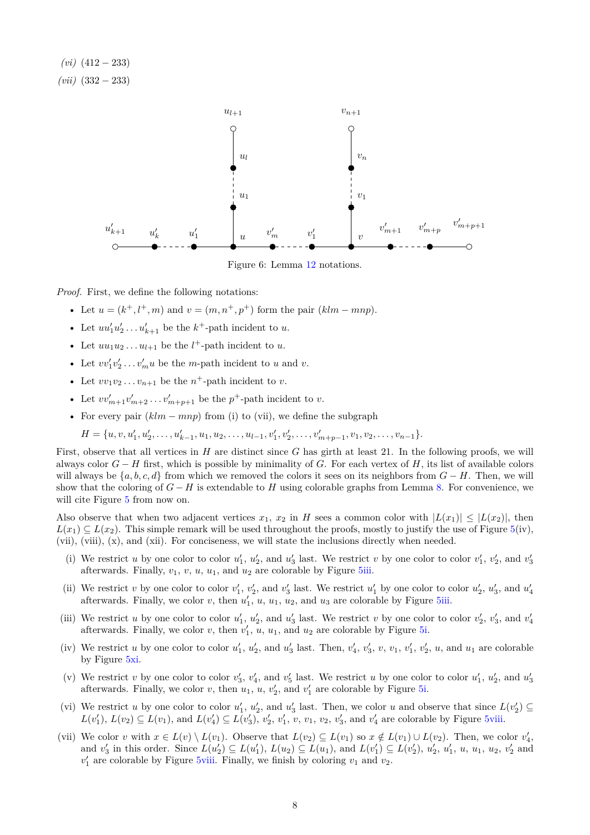*(vi)* (412 − 233) *(vii)* (332 − 233)



Figure 6: Lemma [12](#page-6-2) notations.

*Proof.* First, we define the following notations:

- Let  $u = (k^+, l^+, m)$  and  $v = (m, n^+, p^+)$  form the pair  $(klm mnp)$ .
- Let  $uu'_1u'_2 \ldots u'_{k+1}$  be the  $k^+$ -path incident to *u*.
- Let  $uu_1u_2 \ldots u_{l+1}$  be the  $l^+$ -path incident to  $u$ .
- Let  $vv'_1v'_2 \ldots v'_mu$  be the *m*-path incident to *u* and *v*.
- Let  $vv_1v_2 \ldots v_{n+1}$  be the  $n^+$ -path incident to  $v$ .
- Let  $vv'_{m+1}v'_{m+2}\ldots v'_{m+p+1}$  be the  $p^+$ -path incident to *v*.
- For every pair  $(klm mnp)$  from (i) to (vii), we define the subgraph

$$
H = \{u, v, u'_1, u'_2, \dots, u'_{k-1}, u_1, u_2, \dots, u_{l-1}, v'_1, v'_2, \dots, v'_{m+p-1}, v_1, v_2, \dots, v_{n-1}\}.
$$

First, observe that all vertices in *H* are distinct since *G* has girth at least 21. In the following proofs, we will always color *G* − *H* first, which is possible by minimality of *G*. For each vertex of *H*, its list of available colors will always be  $\{a, b, c, d\}$  from which we removed the colors it sees on its neighbors from  $G - H$ . Then, we will show that the coloring of  $G - H$  is extendable to *H* using colorable graphs from Lemma [8.](#page-4-0) For convenience, we will cite Figure [5](#page-5-0) from now on.

Also observe that when two adjacent vertices  $x_1, x_2$  in *H* sees a common color with  $|L(x_1)| \leq |L(x_2)|$ , then  $L(x_1) \subseteq L(x_2)$ . This simple remark will be used throughout the proofs, mostly to justify the use of Figure [5\(](#page-5-0)iv), (vii), (viii), (x), and (xii). For conciseness, we will state the inclusions directly when needed.

- (i) We restrict *u* by one color to color  $u'_1$ ,  $u'_2$ , and  $u'_3$  last. We restrict *v* by one color to color  $v'_1$ ,  $v'_2$ , and  $v'_3$ afterwards. Finally,  $v_1$ ,  $v$ ,  $u$ ,  $u_1$ , and  $u_2$  are colorable by Figure [5iii.](#page-5-0)
- (ii) We restrict v by one color to color  $v'_1$ ,  $v'_2$ , and  $v'_3$  last. We restrict  $u'_1$  by one color to color  $u'_2$ ,  $u'_3$ , and  $u'_4$  afterwards. Finally, we color v, then  $u'_1$ ,  $u$ ,  $u_1$ ,  $u_2$ , and  $u_3$  are colorabl
- (iii) We restrict *u* by one color to color  $u'_1$ ,  $u'_2$ , and  $u'_3$  last. We restrict *v* by one color to color  $v'_2$ ,  $v'_3$ , and  $v'_4$ afterwards. Finally, we color  $v$ , then  $v'_{1}$ ,  $u$ ,  $u_{1}$ , and  $u_{2}$  are colorable by Figure [5i.](#page-5-0)
- (iv) We restrict u by one color to color  $u'_1, u'_2$ , and  $u'_3$  last. Then,  $v'_4, v'_3, v, v_1, v'_1, v'_2, u$ , and  $u_1$  are colorable by Figure [5xi.](#page-5-0)
- (v) We restrict *v* by one color to color  $v_3'$ ,  $v_4'$ , and  $v_5'$  last. We restrict *u* by one color to color  $u_1', u_2',$  and  $u_3'$ afterwards. Finally, we color  $v$ , then  $u_1$ ,  $u$ ,  $v_2'$ , and  $v_1'$  are colorable by Figure [5i.](#page-5-0)
- (vi) We restrict *u* by one color to color  $u'_1$ ,  $u'_2$ , and  $u'_3$  last. Then, we color *u* and observe that since  $L(v'_2) \subseteq$  $L(v'_1)$ ,  $L(v_2) \subseteq L(v_1)$ , and  $L(v'_4) \subseteq L(v'_3)$ ,  $v'_2$ ,  $v'_1$ ,  $v$ ,  $v_1$ ,  $v_2$ ,  $v'_3$ , and  $v'_4$  are colorable by Figure [5viii.](#page-5-0)
- (vii) We color *v* with  $x \in L(v) \setminus L(v_1)$ . Observe that  $L(v_2) \subseteq L(v_1)$  so  $x \notin L(v_1) \cup L(v_2)$ . Then, we color  $v'_4$ , and  $v'_3$  in this order. Since  $L(u'_2) \subseteq L(u'_1)$ ,  $L(u_2) \subseteq L(u_1)$ , and  $L(v'_1) \subseteq L(v'_2)$ ,  $u'_2$ ,  $u'_1$ ,  $u$ ,  $u_1$ ,  $u_2$ ,  $v'_2$  and  $v'_1$  are colorable by Figure [5viii.](#page-5-0) Finally, we finish by coloring  $v_1$  and  $v_2$ .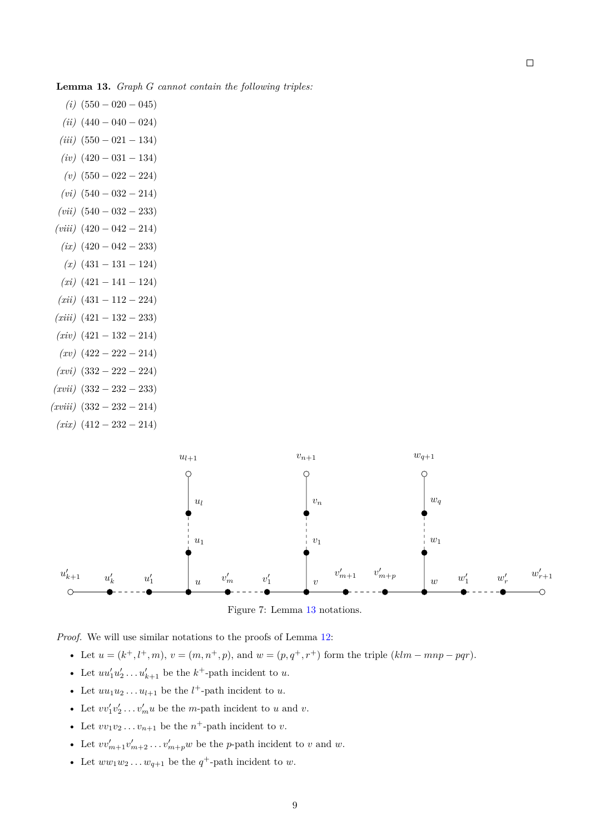<span id="page-8-0"></span>**Lemma 13.** *Graph G cannot contain the following triples:*

 $(i)$  (550 – 020 – 045)  $(iii)$  (440 – 040 – 024) *(iii)* (550 − 021 − 134) *(iv)* (420 − 031 − 134) *(v)* (550 − 022 − 224) *(vi)* (540 − 032 − 214) *(vii)* (540 − 032 − 233) *(viii)* (420 − 042 − 214) *(ix)* (420 − 042 − 233) *(x)* (431 − 131 − 124) *(xi)* (421 − 141 − 124) *(xii)* (431 − 112 − 224) *(xiii)* (421 − 132 − 233) *(xiv)* (421 − 132 − 214) *(xv)* (422 − 222 − 214) *(xvi)* (332 − 222 − 224) *(xvii)* (332 − 232 − 233) *(xviii)* (332 − 232 − 214) *(xix)* (412 − 232 − 214)



Figure 7: Lemma [13](#page-8-0) notations.

*Proof.* We will use similar notations to the proofs of Lemma [12:](#page-6-2)

• Let  $u = (k^+, l^+, m), v = (m, n^+, p),$  and  $w = (p, q^+, r^+)$  form the triple  $(klm - mnp - pqr)$ .

- Let  $uu'_1u'_2 \ldots u'_{k+1}$  be the  $k^+$ -path incident to  $u$ .
- Let  $uu_1u_2 \ldots u_{l+1}$  be the  $l^+$ -path incident to  $u$ .
- Let  $vv'_1v'_2 \ldots v'_mu$  be the *m*-path incident to *u* and *v*.
- Let  $vv_1v_2 \ldots v_{n+1}$  be the  $n^+$ -path incident to  $v$ .
- Let  $vv'_{m+1}v'_{m+2}\ldots v'_{m+p}w$  be the *p*-path incident to *v* and *w*.
- Let  $ww_1w_2 \ldots w_{q+1}$  be the  $q^+$ -path incident to  $w$ .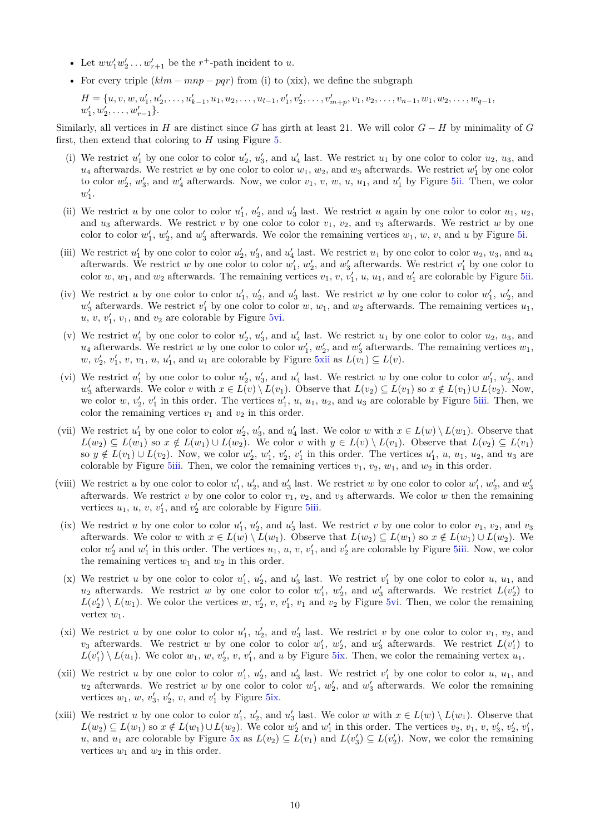- Let  $ww'_1w'_2 \ldots w'_{r+1}$  be the  $r^+$ -path incident to *u*.
- For every triple  $(klm mnp pqr)$  from (i) to (xix), we define the subgraph

 $H = \{u, v, w, u'_1, u'_2, \ldots, u'_{k-1}, u_1, u_2, \ldots, u_{l-1}, v'_1, v'_2, \ldots, v'_{m+p}, v_1, v_2, \ldots, v_{n-1}, w_1, w_2, \ldots, w_{q-1}, v'_{q-1}, v'_{q-1}, v'_{q-1}, v'_{q-1}, v'_{q-1}, v'_{q-1}, v'_{q-1}, v'_{q-1}, v'_{q-1}, v'_{q-1}, v'_{q-1}, v'_{q-1}, v'_{q-1}, v'_{q-1}, v'_{q-1}, v'_{q-1}, v'_{q-1},$  $w'_1, w'_2, \ldots, w'_{r-1}\}.$ 

Similarly, all vertices in *H* are distinct since *G* has girth at least 21. We will color  $G - H$  by minimality of *G* first, then extend that coloring to *H* using Figure [5.](#page-5-0)

- (i) We restrict  $u'_1$  by one color to color  $u'_2$ ,  $u'_3$ , and  $u'_4$  last. We restrict  $u_1$  by one color to color  $u_2$ ,  $u_3$ , and  $u_4$  afterwards. We restrict *w* by one color to color  $w_1$ ,  $w_2$ , and  $w_3$  afterwards. We restrict  $w'_1$  by one color to color  $w_2'$ ,  $w_3'$ , and  $w_4'$  afterwards. Now, we color  $v_1, v, w, u_1$ , and  $u_1'$  by Figure [5ii.](#page-5-0) Then, we color  $w'_1$ .
- (ii) We restrict *u* by one color to color  $u'_1$ ,  $u'_2$ , and  $u'_3$  last. We restrict *u* again by one color to color  $u_1$ ,  $u_2$ , and  $u_3$  afterwards. We restrict *v* by one color to color  $v_1$ ,  $v_2$ , and  $v_3$  afterwards. We restrict *w* by one  $\alpha$  color to color  $w'_1, w'_2$ , and  $w'_3$  afterwards. We color the remaining vertices  $w_1, w, v$ , and  $u$  by Figure [5i.](#page-5-0)
- (iii) We restrict  $u'_1$  by one color to color  $u'_2$ ,  $u'_3$ , and  $u'_4$  last. We restrict  $u_1$  by one color to color  $u_2$ ,  $u_3$ , and  $u_4$ afterwards. We restrict *w* by one color to color  $w'_1, w'_2$ , and  $w'_3$  afterwards. We restrict  $v'_1$  by one color to color  $w, w_1$ , and  $w_2$  afterwards. The remaining vertices  $v_1, v, v'_1, u, u_1$ , and  $u'_1$  are colorable by Figure [5ii.](#page-5-0)
- (iv) We restrict *u* by one color to color  $u'_1$ ,  $u'_2$ , and  $u'_3$  last. We restrict *w* by one color to color  $w'_1$ ,  $w'_2$ , and  $w'_3$  afterwards. We restrict  $v'_1$  by one color to color  $w, w_1$ , and  $w_2$  afterwards. The remaining vertices  $u_1$ ,  $u, v, v'_1, v_1$ , and  $v_2$  are colorable by Figure [5vi.](#page-5-0)
- (v) We restrict  $u'_1$  by one color to color  $u'_2$ ,  $u'_3$ , and  $u'_4$  last. We restrict  $u_1$  by one color to color  $u_2$ ,  $u_3$ , and  $u_4$  afterwards. We restrict *w* by one color to color  $w'_1, w'_2$ , and  $w'_3$  afterwards. The remaining vertices  $w_1$ ,  $w, v'_2, v'_1, v, v_1, u, u'_1$ , and  $u_1$  are colorable by Figure [5xii](#page-5-0) as  $L(v_1) \subseteq L(v)$ .
- (vi) We restrict  $u'_1$  by one color to color  $u'_2$ ,  $u'_3$ , and  $u'_4$  last. We restrict *w* by one color to color  $w'_1, w'_2$ , and *w*<sup> $'$ </sup><sub>3</sub> afterwards. We color *v* with *x* ∈ *L*(*v*) \ *L*(*v*<sub>1</sub>). Observe that *L*(*v*<sub>2</sub>) ⊆ *L*(*v*<sub>1</sub>) so *x* ∉ *L*(*v*<sub>1</sub>) ∪ *L*(*v*<sub>2</sub>). Now, we color  $w, v'_2, v'_1$  in this order. The vertices  $u'_1, u, u_1, u_2$ , and  $u_3$  are colorable by Figure [5iii.](#page-5-0) Then, we color the remaining vertices  $v_1$  and  $v_2$  in this order.
- (vii) We restrict  $u'_1$  by one color to color  $u'_2$ ,  $u'_3$ , and  $u'_4$  last. We color *w* with  $x \in L(w) \setminus L(w_1)$ . Observe that  $L(w_2) \subseteq L(w_1)$  so  $x \notin L(w_1) \cup L(w_2)$ . We color v with  $y \in L(v) \setminus L(v_1)$ . Observe that  $L(v_2) \subseteq L(v_1)$ so  $y \notin L(v_1) \cup L(v_2)$ . Now, we color  $w'_2, w'_1, v'_2, v'_1$  in this order. The vertices  $u'_1, u, u_1, u_2$ , and  $u_3$  are colorable by Figure [5iii.](#page-5-0) Then, we color the remaining vertices  $v_1, v_2, w_1$ , and  $w_2$  in this order.
- (viii) We restrict *u* by one color to color  $u'_1$ ,  $u'_2$ , and  $u'_3$  last. We restrict *w* by one color to color  $w'_1$ ,  $w'_2$ , and  $w'_3$ afterwards. We restrict  $v$  by one color to color  $v_1$ ,  $v_2$ , and  $v_3$  afterwards. We color  $w$  then the remaining vertices  $u_1$ ,  $u$ ,  $v$ ,  $v'_1$ , and  $v'_2$  are colorable by Figure [5iii.](#page-5-0)
- (ix) We restrict *u* by one color to color  $u'_1$ ,  $u'_2$ , and  $u'_3$  last. We restrict *v* by one color to color  $v_1$ ,  $v_2$ , and  $v_3$ afterwards. We color *w* with  $x \in L(w) \setminus L(w_1)$ . Observe that  $L(w_2) \subseteq L(w_1)$  so  $x \notin L(w_1) \cup L(w_2)$ . We color  $w'_2$  and  $w'_1$  in this order. The vertices  $u_1, u, v, v'_1$ , and  $v'_2$  are colorable by Figure [5iii.](#page-5-0) Now, we color the remaining vertices  $w_1$  and  $w_2$  in this order.
- (x) We restrict *u* by one color to color  $u'_1$ ,  $u'_2$ , and  $u'_3$  last. We restrict  $v'_1$  by one color to color *u*,  $u_1$ , and  $u_2$  afterwards. We restrict *w* by one color to color  $w'_1, w'_2$ , and  $w'_3$  afterwards. We restrict  $L(v'_2)$  to  $L(v_2') \setminus L(w_1)$ . We color the vertices *w*,  $v_2'$ , *v*,  $v_1'$ , *v*<sub>1</sub> and *v*<sub>2</sub> by Figure [5vi.](#page-5-0) Then, we color the remaining vertex *w*1.
- (xi) We restrict *u* by one color to color  $u'_1$ ,  $u'_2$ , and  $u'_3$  last. We restrict *v* by one color to color  $v_1$ ,  $v_2$ , and  $v_3$  afterwards. We restrict *w* by one color to color  $w'_1, w'_2$ , and  $w'_3$  afterwards. We restrict  $L(v'_1)$  to  $L(v'_1) \setminus L(u_1)$ . We color  $w_1, w, v'_2, v, v'_1$ , and *u* by Figure [5ix.](#page-5-0) Then, we color the remaining vertex  $u_1$ .
- (xii) We restrict *u* by one color to color  $u'_1$ ,  $u'_2$ , and  $u'_3$  last. We restrict  $v'_1$  by one color to color *u*,  $u_1$ , and  $u_2$  afterwards. We restrict *w* by one color to color  $w'_1, w'_2$ , and  $w'_3$  afterwards. We color the remaining vertices  $w_1$ ,  $w$ ,  $v_3'$ ,  $v_2'$ ,  $v$ , and  $v_1'$  by Figure [5ix.](#page-5-0)
- (xiii) We restrict *u* by one color to color  $u'_1, u'_2$ , and  $u'_3$  last. We color *w* with  $x \in L(w) \setminus L(w_1)$ . Observe that  $L(w_2) \subseteq L(w_1)$  so  $x \notin L(w_1) \cup L(w_2)$ . We color  $w'_2$  and  $w'_1$  in this order. The vertices  $v_2, v_1, v, v'_3, v'_2, v'_1$ *u*, and *u*<sub>1</sub> are colorable by Figure [5x](#page-5-0) as  $L(v_2) \subseteq L(v_1)$  and  $L(v_2') \subseteq L(v_2')$ . Now, we color the remaining vertices  $w_1$  and  $w_2$  in this order.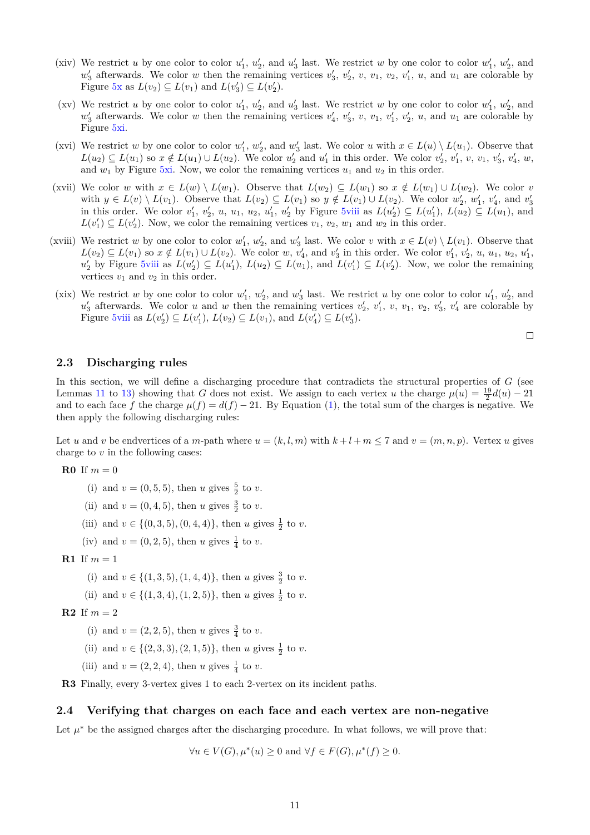- (xiv) We restrict *u* by one color to color  $u'_1, u'_2$ , and  $u'_3$  last. We restrict *w* by one color to color  $w'_1, w'_2$ , and  $w'_3$  afterwards. We color *w* then the remaining vertices  $v'_3$ ,  $v'_2$ ,  $v$ ,  $v_1$ ,  $v_2$ ,  $v'_1$ ,  $u$ , and  $u_1$  are colorable by Figure [5x](#page-5-0) as  $L(v_2) \subseteq L(v_1)$  and  $L(v_3') \subseteq L(v_2')$ .
- (xv) We restrict *u* by one color to color  $u'_1$ ,  $u'_2$ , and  $u'_3$  last. We restrict *w* by one color to color  $w'_1$ ,  $w'_2$ , and  $w'_3$  afterwards. We color *w* then the remaining vertices  $v'_4$ ,  $v'_3$ ,  $v$ ,  $v_1$ ,  $v'_1$ ,  $v'_2$ ,  $u$ , and  $u_1$  are colorable by Figure [5xi.](#page-5-0)
- (xvi) We restrict *w* by one color to color  $w'_1, w'_2$ , and  $w'_3$  last. We color *u* with  $x \in L(u) \setminus L(u_1)$ . Observe that  $L(u_2) \subseteq L(u_1)$  so  $x \notin L(u_1) \cup L(u_2)$ . We color  $u'_2$  and  $u'_1$  in this order. We color  $v'_2$ ,  $v'_1$ ,  $v$ ,  $v_1$ ,  $v'_3$ ,  $v'_4$ ,  $w$ , and  $w_1$  by Figure [5xi.](#page-5-0) Now, we color the remaining vertices  $u_1$  and  $u_2$  in this order.
- (xvii) We color *w* with  $x \in L(w) \setminus L(w_1)$ . Observe that  $L(w_2) \subseteq L(w_1)$  so  $x \notin L(w_1) \cup L(w_2)$ . We color *v* with  $y \in L(v) \setminus L(v_1)$ . Observe that  $L(v_2) \subseteq L(v_1)$  so  $y \notin L(v_1) \cup L(v_2)$ . We color  $w'_2$ ,  $w'_1$ ,  $v'_4$ , and  $v'_3$  in this order. We color  $v'_1$ ,  $v'_2$ ,  $u$ ,  $u_1$ ,  $u_2$ ,  $u'_1$ ,  $u'_2$  by Figure [5viii](#page-5-0) as  $L(u'_2) \subseteq L(u'_1)$ ,  $L(u$  $L(v_1') \subseteq L(v_2')$ . Now, we color the remaining vertices  $v_1, v_2, w_1$  and  $w_2$  in this order.
- (xviii) We restrict *w* by one color to color  $w'_1$ ,  $w'_2$ , and  $w'_3$  last. We color *v* with  $x \in L(v) \setminus L(v_1)$ . Observe that  $L(v_2) \subseteq L(v_1)$  so  $x \notin L(v_1) \cup L(v_2)$ . We color w,  $v'_4$ , and  $v'_3$  in this order. We color  $v'_1, v'_2, u, u_1, u_2, u'_1$ ,  $u'_2$  by Figure [5viii](#page-5-0) as  $L(u'_2) \subseteq L(u'_1)$ ,  $L(u_2) \subseteq L(u_1)$ , and  $L(v'_1) \subseteq L(v'_2)$ . Now, we color the remaining vertices  $v_1$  and  $v_2$  in this order.
- (xix) We restrict *w* by one color to color  $w'_1$ ,  $w'_2$ , and  $w'_3$  last. We restrict *u* by one color to color  $u'_1$ ,  $u'_2$ , and  $u'_3$  afterwards. We color *u* and *w* then the remaining vertices  $v'_2$ ,  $v'_1$ ,  $v$ ,  $v_1$ ,  $v_2$ ,  $v'_3$ ,  $v'_4$  are colorable by Figure [5viii](#page-5-0) as  $L(v_2') \subseteq L(v_1'), L(v_2) \subseteq L(v_1),$  and  $L(v_4') \subseteq L(v_3').$

 $\Box$ 

### <span id="page-10-0"></span>**2.3 Discharging rules**

In this section, we will define a discharging procedure that contradicts the structural properties of *G* (see Lemmas [11](#page-6-3) to [13\)](#page-8-0) showing that *G* does not exist. We assign to each vertex *u* the charge  $\mu(u) = \frac{19}{2}d(u) - 21$ and to each face *f* the charge  $\mu(f) = d(f) - 21$ . By Equation [\(1\)](#page-3-0), the total sum of the charges is negative. We then apply the following discharging rules:

Let *u* and *v* be endvertices of a *m*-path where  $u = (k, l, m)$  with  $k + l + m \le 7$  and  $v = (m, n, p)$ . Vertex *u* gives charge to *v* in the following cases:

**R0** If  $m = 0$ 

- (i) and  $v = (0, 5, 5)$ , then *u* gives  $\frac{5}{2}$  to *v*.
- (ii) and  $v = (0, 4, 5)$ , then *u* gives  $\frac{3}{2}$  to *v*.
- (iii) and  $v \in \{(0,3,5), (0,4,4)\}\text{, then } u \text{ gives } \frac{1}{2} \text{ to } v.$
- (iv) and  $v = (0, 2, 5)$ , then *u* gives  $\frac{1}{4}$  to *v*.
- **R1** If  $m = 1$ 
	- (i) and  $v \in \{(1,3,5), (1,4,4)\}$ , then *u* gives  $\frac{3}{2}$  to *v*.
	- (ii) and  $v \in \{(1,3,4), (1,2,5)\},\$  then *u* gives  $\frac{1}{2}$  to *v*.
- **R2** If  $m = 2$ 
	- (i) and  $v = (2, 2, 5)$ , then *u* gives  $\frac{3}{4}$  to *v*.
	- (ii) and  $v \in \{(2,3,3), (2,1,5)\}$ , then *u* gives  $\frac{1}{2}$  to *v*.
	- (iii) and  $v = (2, 2, 4)$ , then *u* gives  $\frac{1}{4}$  to *v*.

**R3** Finally, every 3-vertex gives 1 to each 2-vertex on its incident paths.

### **2.4 Verifying that charges on each face and each vertex are non-negative**

Let  $\mu^*$  be the assigned charges after the discharging procedure. In what follows, we will prove that:

 $∀u ∈ V(G), μ^*(u) ≥ 0$  and  $∀f ∈ F(G), μ^*(f) ≥ 0$ .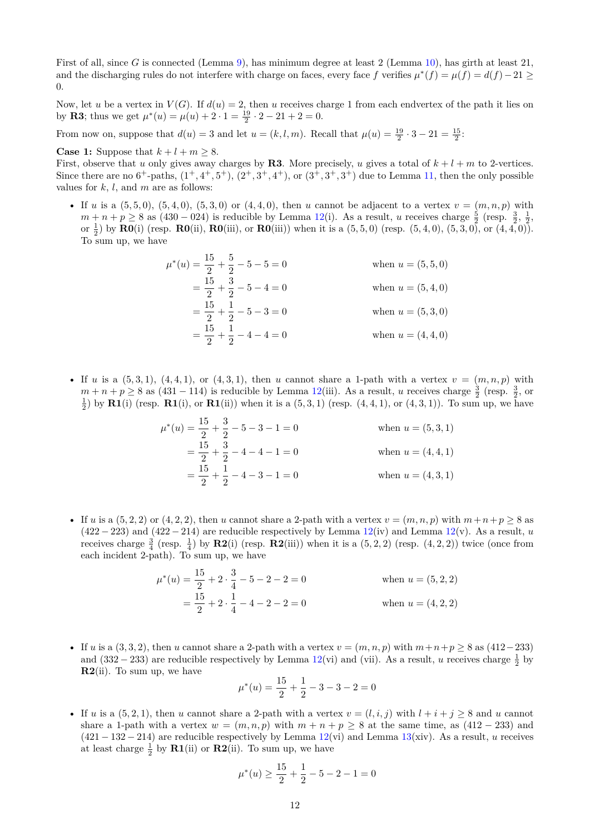First of all, since *G* is connected (Lemma [9\)](#page-6-1), has minimum degree at least 2 (Lemma [10\)](#page-6-4), has girth at least 21, and the discharging rules do not interfere with charge on faces, every face f verifies  $\mu^*(f) = \mu(f) = d(f) - 21 \ge$ 0.

Now, let *u* be a vertex in  $V(G)$ . If  $d(u) = 2$ , then *u* receives charge 1 from each endvertex of the path it lies on by **R3**; thus we get  $\mu^*(u) = \mu(u) + 2 \cdot 1 = \frac{19}{2} \cdot 2 - 21 + 2 = 0$ .

From now on, suppose that  $d(u) = 3$  and let  $u = (k, l, m)$ . Recall that  $\mu(u) = \frac{19}{2} \cdot 3 - 21 = \frac{15}{2}$ .

**Case 1:** Suppose that  $k + l + m \geq 8$ .

First, observe that *u* only gives away charges by **R3**. More precisely, *u* gives a total of  $k + l + m$  to 2-vertices. Since there are no  $6^+$ -paths,  $(1^+, 4^+, 5^+), (2^+, 3^+, 4^+)$ , or  $(3^+, 3^+, 3^+)$  due to Lemma [11,](#page-6-3) then the only possible values for *k*, *l*, and *m* are as follows:

• If *u* is a  $(5,5,0)$ ,  $(5,4,0)$ ,  $(5,3,0)$  or  $(4,4,0)$ , then *u* cannot be adjacent to a vertex  $v = (m, n, p)$  with  $m + n + p \ge 8$  as (430 – 024) is reducible by Lemma [12\(](#page-6-2)i). As a result, *u* receives charge  $\frac{5}{2}$  (resp.  $\frac{3}{2}, \frac{1}{2}$ , or  $\frac{1}{2}$  by **R0**(i) (resp. **R0**(ii), **R0**(iii), or **R0**(iii)) when it is a (5,5,0) (resp. (5,4,0), (5,3,0), or (4,4,0)). To sum up, we have

$$
\mu^*(u) = \frac{15}{2} + \frac{5}{2} - 5 - 5 = 0 \qquad \text{when } u = (5, 5, 0)
$$
  
=  $\frac{15}{2} + \frac{3}{2} - 5 - 4 = 0 \qquad \text{when } u = (5, 4, 0)$   
=  $\frac{15}{2} + \frac{1}{2} - 5 - 3 = 0 \qquad \text{when } u = (5, 3, 0)$   
=  $\frac{15}{2} + \frac{1}{2} - 4 - 4 = 0 \qquad \text{when } u = (4, 4, 0)$ 

• If *u* is a  $(5,3,1)$ ,  $(4,4,1)$ , or  $(4,3,1)$ , then *u* cannot share a 1-path with a vertex  $v = (m, n, p)$  with  $m + n + p \ge 8$  as (431 – 114) is reducible by Lemma [12\(](#page-6-2)iii). As a result, *u* receives charge  $\frac{3}{2}$  (resp.  $\frac{3}{2}$ , or  $\frac{1}{2}$  by **R1**(i) (resp. **R1**(i), or **R1**(ii)) when it is a (5, 3, 1) (resp.  $(4, 4, 1)$ , or  $(4, 3, 1)$ ). To sum up, we have

$$
\mu^*(u) = \frac{15}{2} + \frac{3}{2} - 5 - 3 - 1 = 0 \qquad \text{when } u = (5, 3, 1)
$$

$$
= \frac{15}{2} + \frac{3}{2} - 4 - 4 - 1 = 0 \qquad \text{when } u = (4, 4, 1)
$$

$$
= \frac{15}{2} + \frac{1}{2} - 4 - 3 - 1 = 0 \qquad \text{when } u = (4, 3, 1)
$$

• If *u* is a  $(5, 2, 2)$  or  $(4, 2, 2)$ , then *u* cannot share a 2-path with a vertex  $v = (m, n, p)$  with  $m+n+p \geq 8$  as  $(422 - 223)$  and  $(422 - 214)$  are reducible respectively by Lemma  $12(iv)$  $12(iv)$  and Lemma  $12(v)$ . As a result, *u* receives charge  $\frac{3}{4}$  (resp.  $\frac{1}{4}$ ) by **R2**(i) (resp. **R2**(iii)) when it is a  $(5,2,2)$  (resp.  $(4,2,2)$ ) twice (once from each incident 2-path). To sum up, we have

$$
\mu^*(u) = \frac{15}{2} + 2 \cdot \frac{3}{4} - 5 - 2 - 2 = 0 \qquad \text{when } u = (5, 2, 2)
$$

$$
= \frac{15}{2} + 2 \cdot \frac{1}{4} - 4 - 2 - 2 = 0 \qquad \text{when } u = (4, 2, 2)
$$

• If *u* is a (3, 3, 2), then *u* cannot share a 2-path with a vertex  $v = (m, n, p)$  with  $m+n+p ≥ 8$  as (412−233) and (332 – 233) are reducible respectively by Lemma [12\(](#page-6-2)vi) and (vii). As a result, *u* receives charge  $\frac{1}{2}$  by **R2**(ii). To sum up, we have

$$
\mu^*(u) = \frac{15}{2} + \frac{1}{2} - 3 - 3 - 2 = 0
$$

• If *u* is a  $(5, 2, 1)$ , then *u* cannot share a 2-path with a vertex  $v = (l, i, j)$  with  $l + i + j \geq 8$  and *u* cannot share a 1-path with a vertex  $w = (m, n, p)$  with  $m + n + p \ge 8$  at the same time, as  $(412 - 233)$  and (421 − 132 − 214) are reducible respectively by Lemma [12\(](#page-6-2)vi) and Lemma [13\(](#page-8-0)xiv). As a result, *u* receives at least charge  $\frac{1}{2}$  by **R1**(ii) or **R2**(ii). To sum up, we have

$$
\mu^*(u) \ge \frac{15}{2} + \frac{1}{2} - 5 - 2 - 1 = 0
$$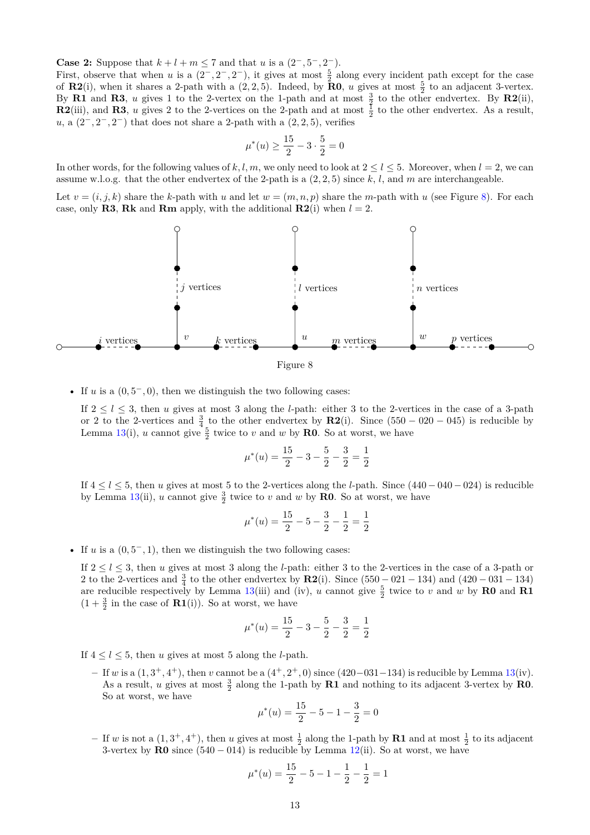**Case 2:** Suppose that  $k + l + m \leq 7$  and that *u* is a  $(2^-, 5^-, 2^-)$ .

First, observe that when *u* is a  $(2^-, 2^-, 2^-)$ , it gives at most  $\frac{5}{2}$  along every incident path except for the case of **R2**(i), when it shares a 2-path with a  $(2, 2, 5)$ . Indeed, by **R0**, *u* gives at most  $\frac{5}{2}$  to an adjacent 3-vertex. By **R1** and **R3**, *u* gives 1 to the 2-vertex on the 1-path and at most  $\frac{3}{2}$  to the other endvertex. By **R2**(ii), **R2**(iii), and **R3**, *u* gives 2 to the 2-vertices on the 2-path and at most  $\frac{1}{2}$  to the other endvertex. As a result,  $u, a (2^-, 2^-, 2^-)$  that does not share a 2-path with a  $(2, 2, 5)$ , verifies

$$
\mu^*(u) \ge \frac{15}{2} - 3 \cdot \frac{5}{2} = 0
$$

In other words, for the following values of  $k, l, m$ , we only need to look at  $2 \le l \le 5$ . Moreover, when  $l = 2$ , we can assume w.l.o.g. that the other endvertex of the 2-path is a (2*,* 2*,* 5) since *k*, *l*, and *m* are interchangeable.

Let  $v = (i, j, k)$  share the k-path with *u* and let  $w = (m, n, p)$  share the *m*-path with *u* (see Figure [8\)](#page-12-0). For each case, only **R3**, **Rk** and **Rm** apply, with the additional **R2**(i) when  $l = 2$ .

<span id="page-12-0"></span>

• If *u* is a  $(0, 5^-, 0)$ , then we distinguish the two following cases:

If  $2 \leq l \leq 3$ , then *u* gives at most 3 along the *l*-path: either 3 to the 2-vertices in the case of a 3-path or 2 to the 2-vertices and  $\frac{3}{4}$  to the other endvertex by **R2**(i). Since  $(550 - 020 - 045)$  is reducible by Lemma [13\(](#page-8-0)i), *u* cannot give  $\frac{5}{2}$  twice to *v* and *w* by **R0**. So at worst, we have

$$
\mu^*(u) = \frac{15}{2} - 3 - \frac{5}{2} - \frac{3}{2} = \frac{1}{2}
$$

If 4 ≤ *l* ≤ 5, then *u* gives at most 5 to the 2-vertices along the *l*-path. Since (440 − 040 − 024) is reducible by Lemma [13\(](#page-8-0)ii), *u* cannot give  $\frac{3}{2}$  twice to *v* and *w* by **R0**. So at worst, we have

$$
\mu^*(u) = \frac{15}{2} - 5 - \frac{3}{2} - \frac{1}{2} = \frac{1}{2}
$$

• If *u* is a  $(0, 5^-, 1)$ , then we distinguish the two following cases:

If  $2 \leq l \leq 3$ , then *u* gives at most 3 along the *l*-path: either 3 to the 2-vertices in the case of a 3-path or 2 to the 2-vertices and  $\frac{3}{4}$  to the other endvertex by **R2**(i). Since  $(550 - 021 - 134)$  and  $(420 - 031 - 134)$ are reducible respectively by Lemma [13\(](#page-8-0)iii) and (iv), *u* cannot give  $\frac{5}{2}$  twice to *v* and *w* by **R0** and **R1**  $(1 + \frac{3}{2}$  in the case of **R1**(i)). So at worst, we have

$$
\mu^*(u) = \frac{15}{2} - 3 - \frac{5}{2} - \frac{3}{2} = \frac{1}{2}
$$

If  $4 \leq l \leq 5$ , then *u* gives at most 5 along the *l*-path.

**–** If *w* is a (1*,* 3 <sup>+</sup>*,* 4 <sup>+</sup>), then *v* cannot be a (4<sup>+</sup>*,* 2 <sup>+</sup>*,* 0) since (420−031−134) is reducible by Lemma [13\(](#page-8-0)iv). As a result, *u* gives at most  $\frac{3}{2}$  along the 1-path by **R1** and nothing to its adjacent 3-vertex by **R0**. So at worst, we have

$$
\mu^*(u) = \frac{15}{2} - 5 - 1 - \frac{3}{2} = 0
$$

 $-$  If *w* is not a  $(1,3^+,4^+)$ , then *u* gives at most  $\frac{1}{2}$  along the 1-path by **R1** and at most  $\frac{1}{2}$  to its adjacent 3-vertex by  $R0$  since  $(540 - 014)$  is reducible by Lemma [12\(](#page-6-2)ii). So at worst, we have

$$
\mu^*(u) = \frac{15}{2} - 5 - 1 - \frac{1}{2} - \frac{1}{2} = 1
$$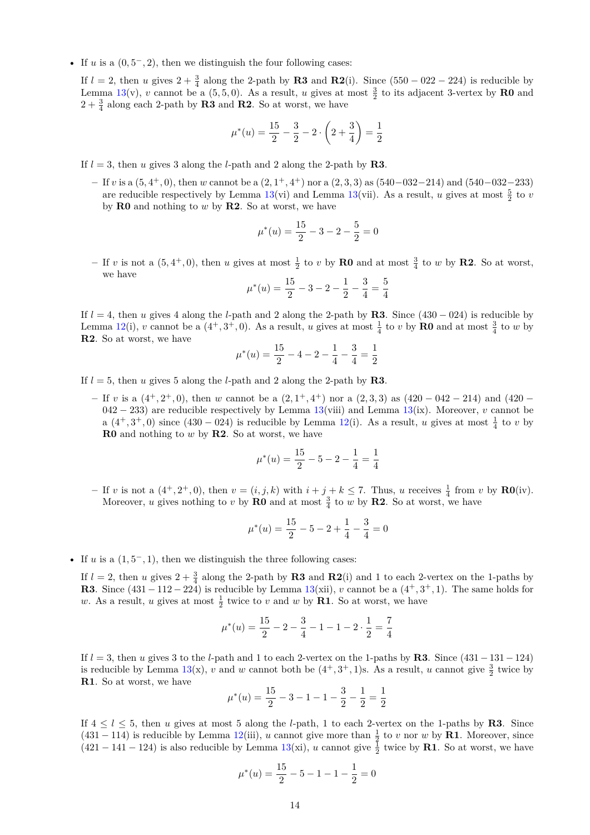• If *u* is a  $(0, 5^-, 2)$ , then we distinguish the four following cases:

If  $l = 2$ , then *u* gives  $2 + \frac{3}{4}$  along the 2-path by **R3** and **R2**(i). Since (550 – 022 – 224) is reducible by Lemma [13\(](#page-8-0)v), *v* cannot be a (5,5,0). As a result, *u* gives at most  $\frac{3}{2}$  to its adjacent 3-vertex by **R0** and  $2 + \frac{3}{4}$  along each 2-path by **R3** and **R2**. So at worst, we have

$$
\mu^*(u) = \frac{15}{2} - \frac{3}{2} - 2\cdot\left(2 + \frac{3}{4}\right) = \frac{1}{2}
$$

If  $l = 3$ , then *u* gives 3 along the *l*-path and 2 along the 2-path by **R3**.

**–** If *v* is a (5*,* 4 <sup>+</sup>*,* 0), then *w* cannot be a (2*,* 1 <sup>+</sup>*,* 4 <sup>+</sup>) nor a (2*,* 3*,* 3) as (540−032−214) and (540−032−233) are reducible respectively by Lemma [13\(](#page-8-0)vi) and Lemma 13(vii). As a result, *u* gives at most  $\frac{5}{2}$  to *v* by **R0** and nothing to *w* by **R2**. So at worst, we have

$$
\mu^*(u) = \frac{15}{2} - 3 - 2 - \frac{5}{2} = 0
$$

 $-$  If *v* is not a  $(5, 4^+, 0)$ , then *u* gives at most  $\frac{1}{2}$  to *v* by **R0** and at most  $\frac{3}{4}$  to *w* by **R2**. So at worst, we have

$$
\mu^*(u) = \frac{15}{2} - 3 - 2 - \frac{1}{2} - \frac{3}{4} = \frac{5}{4}
$$

If  $l = 4$ , then *u* gives 4 along the *l*-path and 2 along the 2-path by **R3**. Since (430 – 024) is reducible by Lemma [12\(](#page-6-2)i), *v* cannot be a  $(4^+,3^+,0)$ . As a result, *u* gives at most  $\frac{1}{4}$  to *v* by **R0** and at most  $\frac{3}{4}$  to *w* by **R2**. So at worst, we have

$$
\mu^*(u) = \frac{15}{2} - 4 - 2 - \frac{1}{4} - \frac{3}{4} = \frac{1}{2}
$$

- If  $l = 5$ , then *u* gives 5 along the *l*-path and 2 along the 2-path by **R3**.
	- **–** If *v* is a (4<sup>+</sup>*,* 2 <sup>+</sup>*,* 0), then *w* cannot be a (2*,* 1 <sup>+</sup>*,* 4 <sup>+</sup>) nor a (2*,* 3*,* 3) as (420 − 042 − 214) and (420 − 042 − 233) are reducible respectively by Lemma [13\(](#page-8-0)viii) and Lemma [13\(](#page-8-0)ix). Moreover, *v* cannot be a  $(4^+,3^+,0)$  since  $(430-024)$  is reducible by Lemma [12\(](#page-6-2)i). As a result, *u* gives at most  $\frac{1}{4}$  to *v* by **R0** and nothing to *w* by **R2**. So at worst, we have

$$
\mu^*(u) = \frac{15}{2} - 5 - 2 - \frac{1}{4} = \frac{1}{4}
$$

 $-$  If *v* is not a  $(4^+, 2^+, 0)$ , then  $v = (i, j, k)$  with  $i + j + k \leq 7$ . Thus, *u* receives  $\frac{1}{4}$  from *v* by **R0**(iv). Moreover, *u* gives nothing to *v* by **R0** and at most  $\frac{3}{4}$  to *w* by **R2**. So at worst, we have

$$
\mu^*(u) = \frac{15}{2} - 5 - 2 + \frac{1}{4} - \frac{3}{4} = 0
$$

• If *u* is a  $(1, 5^{-}, 1)$ , then we distinguish the three following cases:

If  $l = 2$ , then *u* gives  $2 + \frac{3}{4}$  along the 2-path by **R3** and **R2**(i) and 1 to each 2-vertex on the 1-paths by **R3**. Since  $(431 - 112 - 224)$  is reducible by Lemma  $13(xii)$  $13(xii)$ , *v* cannot be a  $(4^+, 3^+, 1)$ . The same holds for *w*. As a result, *u* gives at most  $\frac{1}{2}$  twice to *v* and *w* by **R1**. So at worst, we have

$$
\mu^*(u) = \frac{15}{2} - 2 - \frac{3}{4} - 1 - 1 - 2 \cdot \frac{1}{2} = \frac{7}{4}
$$

If *l* = 3, then *u* gives 3 to the *l*-path and 1 to each 2-vertex on the 1-paths by **R3**. Since (431−131−124) is reducible by Lemma  $13(x)$  $13(x)$ , *v* and *w* cannot both be  $(4^+,3^+,1)$ s. As a result, *u* cannot give  $\frac{3}{2}$  twice by **R1**. So at worst, we have

$$
\mu^*(u) = \frac{15}{2} - 3 - 1 - 1 - \frac{3}{2} - \frac{1}{2} = \frac{1}{2}
$$

If  $4 \leq l \leq 5$ , then *u* gives at most 5 along the *l*-path, 1 to each 2-vertex on the 1-paths by **R3**. Since (431 – 114) is reducible by Lemma [12\(](#page-6-2)iii), *u* cannot give more than  $\frac{1}{2}$  to *v* nor *w* by **R1**. Moreover, since  $(421 - 141 - 124)$  is also reducible by Lemma [13\(](#page-8-0)xi), *u* cannot give  $\frac{1}{2}$  twice by **R1**. So at worst, we have

$$
\mu^*(u) = \frac{15}{2} - 5 - 1 - 1 - \frac{1}{2} = 0
$$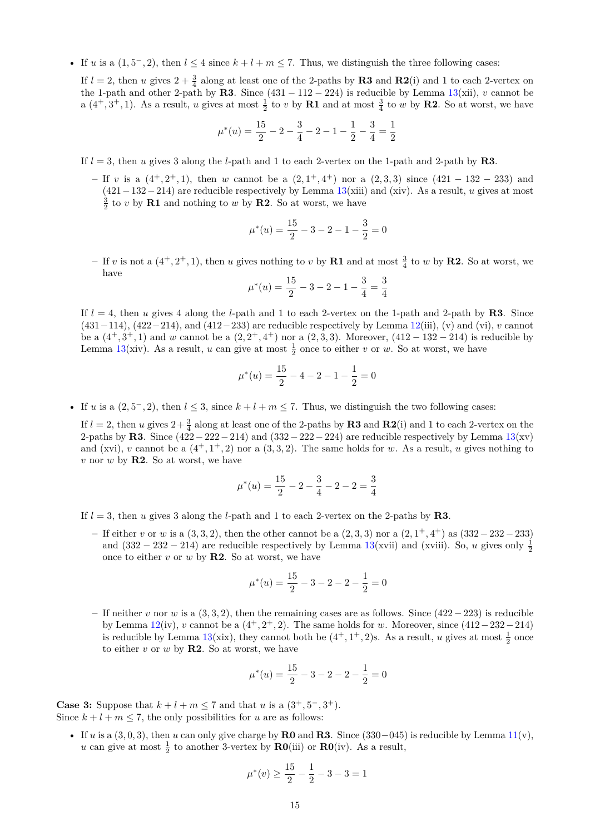• If *u* is a  $(1, 5^-, 2)$ , then  $l \leq 4$  since  $k + l + m \leq 7$ . Thus, we distinguish the three following cases:

If  $l = 2$ , then *u* gives  $2 + \frac{3}{4}$  along at least one of the 2-paths by **R3** and **R2**(i) and 1 to each 2-vertex on the 1-path and other 2-path by **R3**. Since  $(431 - 112 - 224)$  is reducible by Lemma [13\(](#page-8-0)xii), *v* cannot be a  $(4^+,3^+,1)$ . As a result, *u* gives at most  $\frac{1}{2}$  to *v* by **R1** and at most  $\frac{3}{4}$  to *w* by **R2**. So at worst, we have

$$
\mu^*(u) = \frac{15}{2} - 2 - \frac{3}{4} - 2 - 1 - \frac{1}{2} - \frac{3}{4} = \frac{1}{2}
$$

- If  $l = 3$ , then *u* gives 3 along the *l*-path and 1 to each 2-vertex on the 1-path and 2-path by **R3**.
	- **–** If *v* is a (4<sup>+</sup>*,* 2 <sup>+</sup>*,* 1), then *w* cannot be a (2*,* 1 <sup>+</sup>*,* 4 <sup>+</sup>) nor a (2*,* 3*,* 3) since (421 − 132 − 233) and (421−132−214) are reducible respectively by Lemma [13\(](#page-8-0)xiii) and (xiv). As a result, *u* gives at most  $\frac{3}{2}$  to *v* by **R1** and nothing to *w* by **R2**. So at worst, we have

$$
\mu^*(u) = \frac{15}{2} - 3 - 2 - 1 - \frac{3}{2} = 0
$$

 $-$  If *v* is not a  $(4^+, 2^+, 1)$ , then *u* gives nothing to *v* by **R1** and at most  $\frac{3}{4}$  to *w* by **R2**. So at worst, we have

$$
\mu^*(u) = \frac{15}{2} - 3 - 2 - 1 - \frac{3}{4} = \frac{3}{4}
$$

If  $l = 4$ , then *u* gives 4 along the *l*-path and 1 to each 2-vertex on the 1-path and 2-path by **R3**. Since (431−114), (422−214), and (412−233) are reducible respectively by Lemma [12\(](#page-6-2)iii), (v) and (vi), *v* cannot be a  $(4^+,3^+,1)$  and *w* cannot be a  $(2,2^+,4^+)$  nor a  $(2,3,3)$ . Moreover,  $(412-132-214)$  is reducible by Lemma [13\(](#page-8-0)xiv). As a result, *u* can give at most  $\frac{1}{2}$  once to either *v* or *w*. So at worst, we have

$$
\mu^*(u) = \frac{15}{2} - 4 - 2 - 1 - \frac{1}{2} = 0
$$

• If *u* is a  $(2, 5^-, 2)$ , then  $l \leq 3$ , since  $k + l + m \leq 7$ . Thus, we distinguish the two following cases:

If  $l = 2$ , then *u* gives  $2 + \frac{3}{4}$  along at least one of the 2-paths by **R3** and **R2**(i) and 1 to each 2-vertex on the 2-paths by **R3**. Since  $(422-222-214)$  and  $(332-222-224)$  are reducible respectively by Lemma  $13(xv)$  $13(xv)$ and (xvi), *v* cannot be a  $(4^+, 1^+, 2)$  nor a  $(3, 3, 2)$ . The same holds for *w*. As a result, *u* gives nothing to *v* nor *w* by **R2**. So at worst, we have

$$
\mu^*(u) = \frac{15}{2} - 2 - \frac{3}{4} - 2 - 2 = \frac{3}{4}
$$

- If *l* = 3, then *u* gives 3 along the *l*-path and 1 to each 2-vertex on the 2-paths by **R3**.
	- **–** If either *v* or *w* is a (3*,* 3*,* 2), then the other cannot be a (2*,* 3*,* 3) nor a (2*,* 1 <sup>+</sup>*,* 4 <sup>+</sup>) as (332−232−233) and  $(332 - 232 - 214)$  are reducible respectively by Lemma [13\(](#page-8-0)xvii) and (xviii). So, *u* gives only  $\frac{1}{2}$ once to either  $v$  or  $w$  by **R2**. So at worst, we have

$$
\mu^*(u) = \frac{15}{2} - 3 - 2 - 2 - \frac{1}{2} = 0
$$

**–** If neither *v* nor *w* is a (3*,* 3*,* 2), then the remaining cases are as follows. Since (422 − 223) is reducible by Lemma  $12(iv)$  $12(iv)$ , *v* cannot be a  $(4^+, 2^+, 2)$ . The same holds for *w*. Moreover, since  $(412-232-214)$ is reducible by Lemma [13\(](#page-8-0)xix), they cannot both be  $(4^+, 1^+, 2)$ s. As a result, *u* gives at most  $\frac{1}{2}$  once to either  $v$  or  $w$  by **R2**. So at worst, we have

$$
\mu^*(u) = \frac{15}{2} - 3 - 2 - 2 - \frac{1}{2} = 0
$$

**Case 3:** Suppose that  $k + l + m \leq 7$  and that *u* is a  $(3^+, 5^-, 3^+)$ . Since  $k + l + m \leq 7$ , the only possibilities for *u* are as follows:

• If *u* is a  $(3,0,3)$ , then *u* can only give charge by **R0** and **R3**. Since  $(330-045)$  is reducible by Lemma  $11(v)$  $11(v)$ , *u* can give at most  $\frac{1}{2}$  to another 3-vertex by **R0**(iii) or **R0**(iv). As a result,

$$
\mu^*(v) \ge \frac{15}{2} - \frac{1}{2} - 3 - 3 = 1
$$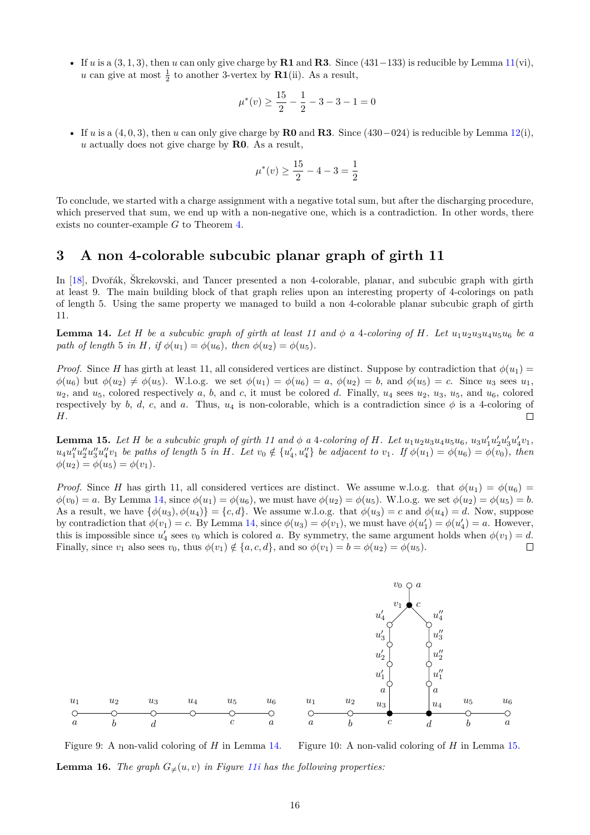• If *u* is a  $(3, 1, 3)$ , then *u* can only give charge by **R1** and **R3**. Since  $(431-133)$  is reducible by Lemma  $11(vi)$  $11(vi)$ , *u* can give at most  $\frac{1}{2}$  to another 3-vertex by **R1**(ii). As a result,

$$
\mu^*(v) \ge \frac{15}{2} - \frac{1}{2} - 3 - 3 - 1 = 0
$$

• If *u* is a  $(4, 0, 3)$ , then *u* can only give charge by **R0** and **R3**. Since  $(430-024)$  is reducible by Lemma  $12(i)$  $12(i)$ , *u* actually does not give charge by **R0**. As a result,

$$
\mu^*(v) \ge \frac{15}{2} - 4 - 3 = \frac{1}{2}
$$

To conclude, we started with a charge assignment with a negative total sum, but after the discharging procedure, which preserved that sum, we end up with a non-negative one, which is a contradiction. In other words, there exists no counter-example *G* to Theorem [4.](#page-2-7)

## <span id="page-15-0"></span>**3 A non 4-colorable subcubic planar graph of girth 11**

In [\[18\]](#page-19-23), Dvořák, Škrekovski, and Tancer presented a non 4-colorable, planar, and subcubic graph with girth at least 9. The main building block of that graph relies upon an interesting property of 4-colorings on path of length 5. Using the same property we managed to build a non 4-colorable planar subcubic graph of girth 11.

<span id="page-15-1"></span>**Lemma 14.** Let H be a subcubic graph of girth at least 11 and  $\phi$  a 4-coloring of H. Let  $u_1u_2u_3u_4u_5u_6$  be a *path of length* 5 *in H, if*  $\phi(u_1) = \phi(u_6)$ *, then*  $\phi(u_2) = \phi(u_5)$ *.* 

*Proof.* Since *H* has girth at least 11, all considered vertices are distinct. Suppose by contradiction that  $\phi(u_1)$  $\phi(u_6)$  but  $\phi(u_2) \neq \phi(u_5)$ . W.l.o.g. we set  $\phi(u_1) = \phi(u_6) = a$ ,  $\phi(u_2) = b$ , and  $\phi(u_5) = c$ . Since  $u_3$  sees  $u_1$ ,  $u_2$ , and  $u_5$ , colored respectively *a*, *b*, and *c*, it must be colored *d*. Finally,  $u_4$  sees  $u_2$ ,  $u_3$ ,  $u_5$ , and  $u_6$ , colored respectively by *b*, *d*, *c*, and *a*. Thus,  $u_4$  is non-colorable, which is a contradiction since  $\phi$  is a 4-coloring of *H*.  $\Box$ 

<span id="page-15-2"></span>**Lemma 15.** Let H be a subcubic graph of girth 11 and  $\phi$  a 4-coloring of H. Let  $u_1u_2u_3u_4u_5u_6$ ,  $u_3u'_1u'_2u'_3u'_4v_1$ ,  $u_4u_1''u_2''u_3''u_4''v_1$  be paths of length 5 in H. Let  $v_0 \notin \{u_4', u_4''\}$  be adjacent to  $v_1$ . If  $\phi(u_1) = \phi(u_6) = \phi(v_0)$ , then  $\phi(u_2) = \phi(u_5) = \phi(v_1)$ .

*Proof.* Since *H* has girth 11, all considered vertices are distinct. We assume w.l.o.g. that  $\phi(u_1) = \phi(u_6)$  $\phi(v_0) = a$ . By Lemma [14,](#page-15-1) since  $\phi(u_1) = \phi(u_6)$ , we must have  $\phi(u_2) = \phi(u_5)$ . W.l.o.g. we set  $\phi(u_2) = \phi(u_5) = b$ . As a result, we have  $\{\phi(u_3), \phi(u_4)\} = \{c, d\}$ . We assume w.l.o.g. that  $\phi(u_3) = c$  and  $\phi(u_4) = d$ . Now, suppose by contradiction that  $\phi(v_1) = c$ . By Lemma [14,](#page-15-1) since  $\phi(u_3) = \phi(v_1)$ , we must have  $\phi(u'_1) = \phi(u'_4) = a$ . However, this is impossible since  $u'_4$  sees  $v_0$  which is colored *a*. By symmetry, the same argument holds when  $\phi(v_1) = d$ . Finally, since  $v_1$  also sees  $v_0$ , thus  $\phi(v_1) \notin \{a, c, d\}$ , and so  $\phi(v_1) = b = \phi(u_2) = \phi(u_5)$ .  $\Box$ 



<span id="page-15-3"></span>Figure 9: A non-valid coloring of *H* in Lemma [14.](#page-15-1) **Lemma 16.** *The graph*  $G_{\neq}(u, v)$  *in Figure [11i](#page-17-0) has the following properties:* 

*u*<sup>4</sup> *u*<sup>5</sup>

*c*

*u*6

*a*

 $\overline{\bigcirc}$ 

*u*3

*d*

*u*1

 $\bigcap$ 

*u*2

*b*

*a*

Figure 10: A non-valid coloring of *H* in Lemma [15.](#page-15-2)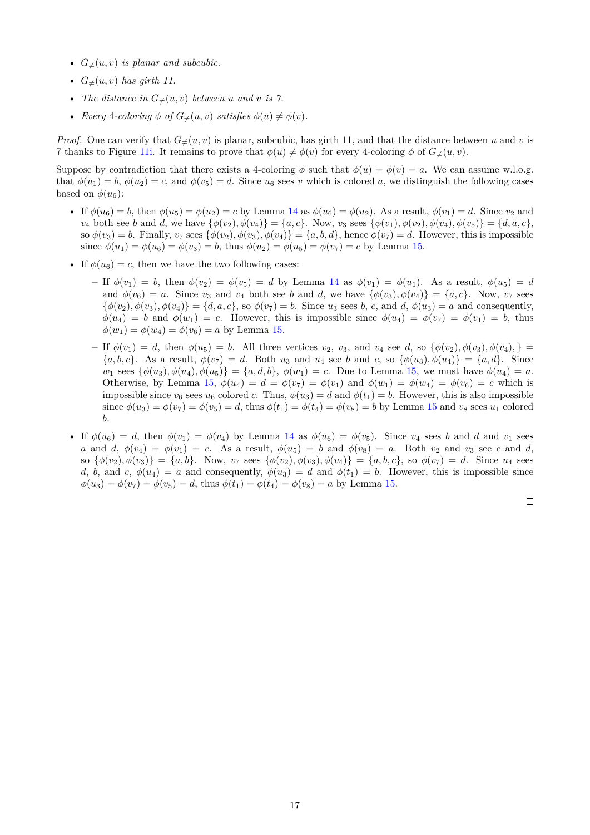- $G_{\neq}(u, v)$  *is planar and subcubic.*
- $G_{\neq}(u, v)$  *has girth 11.*
- *The distance in*  $G_{\neq}(u, v)$  *between u and v is* 7.
- *Every* 4-coloring  $\phi$  of  $G_{\neq}(u, v)$  satisfies  $\phi(u) \neq \phi(v)$ .

*Proof.* One can verify that  $G_{\neq}(u, v)$  is planar, subcubic, has girth 11, and that the distance between *u* and *v* is 7 thanks to Figure [11i.](#page-17-0) It remains to prove that  $\phi(u) \neq \phi(v)$  for every 4-coloring  $\phi$  of  $G_{\neq}(u, v)$ .

Suppose by contradiction that there exists a 4-coloring  $\phi$  such that  $\phi(u) = \phi(v) = a$ . We can assume w.l.o.g. that  $\phi(u_1) = b$ ,  $\phi(u_2) = c$ , and  $\phi(v_5) = d$ . Since  $u_6$  sees *v* which is colored *a*, we distinguish the following cases based on  $\phi(u_6)$ :

- If  $\phi(u_6) = b$ , then  $\phi(u_5) = \phi(u_2) = c$  by Lemma [14](#page-15-1) as  $\phi(u_6) = \phi(u_2)$ . As a result,  $\phi(v_1) = d$ . Since  $v_2$  and  $v_4$  both see b and d, we have  $\{\phi(v_2), \phi(v_4)\} = \{a, c\}$ . Now,  $v_3$  sees  $\{\phi(v_1), \phi(v_2), \phi(v_4), \phi(v_5)\} = \{d, a, c\}$ , so  $\phi(v_3) = b$ . Finally,  $v_7$  sees  $\{\phi(v_2), \phi(v_3), \phi(v_4)\} = \{a, b, d\}$ , hence  $\phi(v_7) = d$ . However, this is impossible since  $\phi(u_1) = \phi(u_6) = \phi(v_3) = b$ , thus  $\phi(u_2) = \phi(u_5) = \phi(v_7) = c$  by Lemma [15.](#page-15-2)
- If  $\phi(u_6) = c$ , then we have the two following cases:
	- **–** If *φ*(*v*1) = *b*, then *φ*(*v*2) = *φ*(*v*5) = *d* by Lemma [14](#page-15-1) as *φ*(*v*1) = *φ*(*u*1). As a result, *φ*(*u*5) = *d* and  $\phi(v_6) = a$ . Since  $v_3$  and  $v_4$  both see *b* and *d*, we have  $\{\phi(v_3), \phi(v_4)\} = \{a, c\}$ . Now,  $v_7$  sees  $\{\phi(v_2), \phi(v_3), \phi(v_4)\} = \{d, a, c\}$ , so  $\phi(v_7) = b$ . Since  $u_3$  sees *b*, *c*, and *d*,  $\phi(u_3) = a$  and consequently,  $\phi(u_4) = b$  and  $\phi(w_1) = c$ . However, this is impossible since  $\phi(u_4) = \phi(v_7) = \phi(v_1) = b$ , thus  $\phi(w_1) = \phi(w_4) = \phi(v_6) = a$  by Lemma [15.](#page-15-2)
	- If  $\phi(v_1) = d$ , then  $\phi(u_5) = b$ . All three vertices  $v_2$ ,  $v_3$ , and  $v_4$  see d, so  $\{\phi(v_2), \phi(v_3), \phi(v_4), \}$  ${a, b, c}$ . As a result,  $\phi(v_7) = d$ . Both  $u_3$  and  $u_4$  see *b* and *c*, so  ${\phi(u_3), \phi(u_4)} = {a, d}$ . Since  $w_1$  sees  $\{\phi(u_3), \phi(u_4), \phi(u_5)\} = \{a, d, b\}, \phi(w_1) = c$ . Due to Lemma [15,](#page-15-2) we must have  $\phi(u_4) = a$ . Otherwise, by Lemma [15,](#page-15-2)  $\phi(u_4) = d = \phi(v_7) = \phi(v_1)$  and  $\phi(w_1) = \phi(w_4) = \phi(v_6) = c$  which is impossible since  $v_6$  sees  $u_6$  colored *c*. Thus,  $\phi(u_3) = d$  and  $\phi(t_1) = b$ . However, this is also impossible since  $\phi(u_3) = \phi(v_7) = \phi(v_5) = d$ , thus  $\phi(t_1) = \phi(t_4) = \phi(v_8) = b$  by Lemma [15](#page-15-2) and  $v_8$  sees  $u_1$  colored *b*.
- If  $\phi(u_6) = d$ , then  $\phi(v_1) = \phi(v_4)$  by Lemma [14](#page-15-1) as  $\phi(u_6) = \phi(v_5)$ . Since  $v_4$  sees *b* and *d* and  $v_1$  sees *a* and *d*,  $\phi(v_4) = \phi(v_1) = c$ . As a result,  $\phi(u_5) = b$  and  $\phi(v_8) = a$ . Both  $v_2$  and  $v_3$  see *c* and *d*, so  $\{\phi(v_2), \phi(v_3)\} = \{a, b\}$ . Now,  $v_7$  sees  $\{\phi(v_2), \phi(v_3), \phi(v_4)\} = \{a, b, c\}$ , so  $\phi(v_7) = d$ . Since  $u_4$  sees *d*, *b*, and *c*,  $\phi(u_4) = a$  and consequently,  $\phi(u_3) = d$  and  $\phi(t_1) = b$ . However, this is impossible since  $\phi(u_3) = \phi(v_7) = \phi(v_5) = d$ , thus  $\phi(t_1) = \phi(t_4) = \phi(v_8) = a$  by Lemma [15.](#page-15-2)

 $\Box$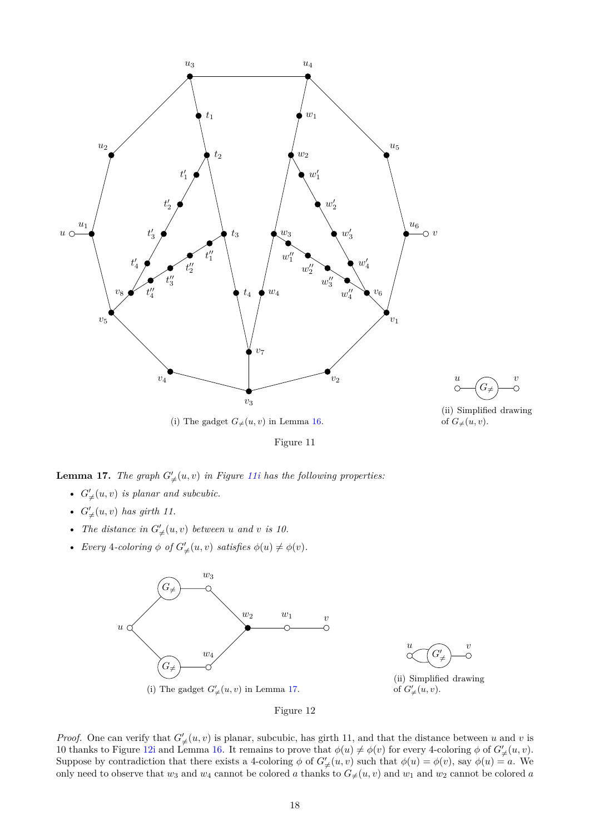<span id="page-17-0"></span>



(ii) Simplified drawing of  $G_{\neq}(u, v)$ .

Figure 11

<span id="page-17-1"></span>**Lemma 17.** *The graph*  $G'_{\neq}(u, v)$  *in Figure* 11*i has the following properties:* 

- $G'_{\neq}(u, v)$  *is planar and subcubic.*
- $G'_{\neq}(u, v)$  *has girth 11.*
- *The distance in*  $G'_{\neq}(u, v)$  *between u and v is* 10.
- <span id="page-17-2"></span>• *Every* 4-*coloring*  $\phi$  *of*  $G'_{\neq}(u, v)$  *satisfies*  $\phi(u) \neq \phi(v)$ *.*





(ii) Simplified drawing of  $G'_{\neq}(u, v)$ .

Figure 12

*Proof.* One can verify that  $G'_{\neq}(u, v)$  is planar, subcubic, has girth 11, and that the distance between *u* and *v* is 10 thanks to Figure [12i](#page-17-2) and Lemma [16.](#page-15-3) It remains to prove that  $\phi(u) \neq \phi(v)$  for every 4-coloring  $\phi$  of  $G'_{\neq}(u, v)$ . Suppose by contradiction that there exists a 4-coloring  $\phi$  of  $G'_{\neq}(u, v)$  such that  $\phi(u) = \phi(v)$ , say  $\phi(u) = a$ . We only need to observe that  $w_3$  and  $w_4$  cannot be colored *a* thanks to  $G_{\neq}(u, v)$  and  $w_1$  and  $w_2$  cannot be colored *a*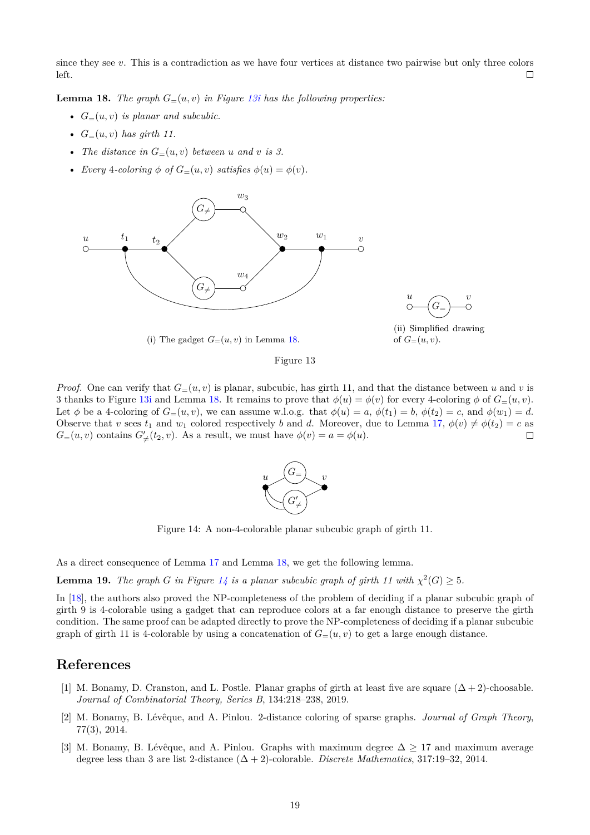since they see *v*. This is a contradiction as we have four vertices at distance two pairwise but only three colors left.  $\Box$ 

<span id="page-18-4"></span>**Lemma 18.** *The graph*  $G=(u, v)$  *in Figure [13i](#page-18-3) has the following properties:* 

- $G_{=} (u, v)$  *is planar and subcubic.*
- $G_{=} (u, v)$  *has girth 11.*
- *The distance in*  $G_=(u, v)$  *between u and v is* 3.
- <span id="page-18-3"></span>• *Every* 4-coloring  $\phi$  of  $G=(u, v)$  satisfies  $\phi(u) = \phi(v)$ .



*u*  $\bigcap$  *v*  $G_{\equiv}$  $\subset$ Ō

(ii) Simplified drawing

of  $G_=(u, v)$ .

(i) The gadget  $G=(u, v)$  in Lemma [18.](#page-18-4)

Figure 13

<span id="page-18-5"></span>*Proof.* One can verify that  $G=(u, v)$  is planar, subcubic, has girth 11, and that the distance between *u* and *v* is 3 thanks to Figure [13i](#page-18-3) and Lemma [18.](#page-18-4) It remains to prove that  $\phi(u) = \phi(v)$  for every 4-coloring  $\phi$  of  $G=(u, v)$ . Let  $\phi$  be a 4-coloring of  $G=(u, v)$ , we can assume w.l.o.g. that  $\phi(u) = a, \phi(t_1) = b, \phi(t_2) = c$ , and  $\phi(w_1) = d$ . Observe that *v* sees  $t_1$  and  $w_1$  colored respectively *b* and *d*. Moreover, due to Lemma [17,](#page-17-1)  $\phi(v) \neq \phi(t_2) = c$  as  $G=(u, v)$  contains  $G'_{\neq}(t_2, v)$ . As a result, we must have  $\phi(v) = a = \phi(u)$ . П



Figure 14: A non-4-colorable planar subcubic graph of girth 11.

As a direct consequence of Lemma [17](#page-17-1) and Lemma [18,](#page-18-4) we get the following lemma.

**Lemma 19.** *The graph G in Figure* [14](#page-18-5) *is a planar subcubic graph of girth* 11 with  $\chi^2(G) \geq 5$ *.* 

In [\[18\]](#page-19-23), the authors also proved the NP-completeness of the problem of deciding if a planar subcubic graph of girth 9 is 4-colorable using a gadget that can reproduce colors at a far enough distance to preserve the girth condition. The same proof can be adapted directly to prove the NP-completeness of deciding if a planar subcubic graph of girth 11 is 4-colorable by using a concatenation of  $G=(u, v)$  to get a large enough distance.

### **References**

- <span id="page-18-0"></span>[1] M. Bonamy, D. Cranston, and L. Postle. Planar graphs of girth at least five are square  $(\Delta + 2)$ -choosable. *Journal of Combinatorial Theory, Series B*, 134:218–238, 2019.
- <span id="page-18-2"></span>[2] M. Bonamy, B. Lévêque, and A. Pinlou. 2-distance coloring of sparse graphs. *Journal of Graph Theory*, 77(3), 2014.
- <span id="page-18-1"></span>[3] M. Bonamy, B. Lévêque, and A. Pinlou. Graphs with maximum degree  $\Delta > 17$  and maximum average degree less than 3 are list 2-distance (∆ + 2)-colorable. *Discrete Mathematics*, 317:19–32, 2014.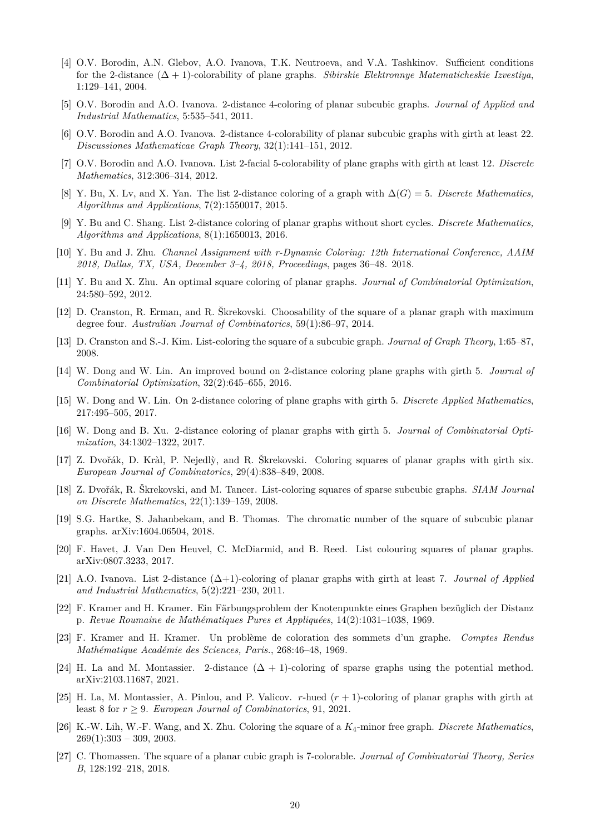- <span id="page-19-20"></span>[4] O.V. Borodin, A.N. Glebov, A.O. Ivanova, T.K. Neutroeva, and V.A. Tashkinov. Sufficient conditions for the 2-distance (∆ + 1)-colorability of plane graphs. *Sibirskie Elektronnye Matematicheskie Izvestiya*, 1:129–141, 2004.
- <span id="page-19-22"></span>[5] O.V. Borodin and A.O. Ivanova. 2-distance 4-coloring of planar subcubic graphs. *Journal of Applied and Industrial Mathematics*, 5:535–541, 2011.
- <span id="page-19-19"></span>[6] O.V. Borodin and A.O. Ivanova. 2-distance 4-colorability of planar subcubic graphs with girth at least 22. *Discussiones Mathematicae Graph Theory*, 32(1):141–151, 2012.
- <span id="page-19-18"></span>[7] O.V. Borodin and A.O. Ivanova. List 2-facial 5-colorability of plane graphs with girth at least 12. *Discrete Mathematics*, 312:306–314, 2012.
- <span id="page-19-15"></span>[8] Y. Bu, X. Lv, and X. Yan. The list 2-distance coloring of a graph with ∆(*G*) = 5. *Discrete Mathematics, Algorithms and Applications*, 7(2):1550017, 2015.
- <span id="page-19-9"></span>[9] Y. Bu and C. Shang. List 2-distance coloring of planar graphs without short cycles. *Discrete Mathematics, Algorithms and Applications*, 8(1):1650013, 2016.
- <span id="page-19-8"></span>[10] Y. Bu and J. Zhu. *Channel Assignment with r-Dynamic Coloring: 12th International Conference, AAIM 2018, Dallas, TX, USA, December 3–4, 2018, Proceedings*, pages 36–48. 2018.
- <span id="page-19-11"></span>[11] Y. Bu and X. Zhu. An optimal square coloring of planar graphs. *Journal of Combinatorial Optimization*, 24:580–592, 2012.
- <span id="page-19-13"></span>[12] D. Cranston, R. Erman, and R. Škrekovski. Choosability of the square of a planar graph with maximum degree four. *Australian Journal of Combinatorics*, 59(1):86–97, 2014.
- <span id="page-19-17"></span>[13] D. Cranston and S.-J. Kim. List-coloring the square of a subcubic graph. *Journal of Graph Theory*, 1:65–87, 2008.
- <span id="page-19-10"></span>[14] W. Dong and W. Lin. An improved bound on 2-distance coloring plane graphs with girth 5. *Journal of Combinatorial Optimization*, 32(2):645–655, 2016.
- <span id="page-19-7"></span>[15] W. Dong and W. Lin. On 2-distance coloring of plane graphs with girth 5. *Discrete Applied Mathematics*, 217:495–505, 2017.
- <span id="page-19-6"></span>[16] W. Dong and B. Xu. 2-distance coloring of planar graphs with girth 5. *Journal of Combinatorial Optimization*, 34:1302–1322, 2017.
- <span id="page-19-21"></span>[17] Z. Dvořák, D. Kràl, P. Nejedlỳ, and R. Škrekovski. Coloring squares of planar graphs with girth six. *European Journal of Combinatorics*, 29(4):838–849, 2008.
- <span id="page-19-23"></span>[18] Z. Dvořák, R. Škrekovski, and M. Tancer. List-coloring squares of sparse subcubic graphs. *SIAM Journal on Discrete Mathematics*, 22(1):139–159, 2008.
- <span id="page-19-3"></span>[19] S.G. Hartke, S. Jahanbekam, and B. Thomas. The chromatic number of the square of subcubic planar graphs. arXiv:1604.06504, 2018.
- <span id="page-19-4"></span>[20] F. Havet, J. Van Den Heuvel, C. McDiarmid, and B. Reed. List colouring squares of planar graphs. arXiv:0807.3233, 2017.
- <span id="page-19-12"></span>[21] A.O. Ivanova. List 2-distance (∆+1)-coloring of planar graphs with girth at least 7. *Journal of Applied and Industrial Mathematics*, 5(2):221–230, 2011.
- <span id="page-19-0"></span>[22] F. Kramer and H. Kramer. Ein Färbungsproblem der Knotenpunkte eines Graphen bezüglich der Distanz p. *Revue Roumaine de Mathématiques Pures et Appliquées*, 14(2):1031–1038, 1969.
- <span id="page-19-1"></span>[23] F. Kramer and H. Kramer. Un problème de coloration des sommets d'un graphe. *Comptes Rendus Mathématique Académie des Sciences, Paris.*, 268:46–48, 1969.
- <span id="page-19-16"></span>[24] H. La and M. Montassier. 2-distance  $(\Delta + 1)$ -coloring of sparse graphs using the potential method. arXiv:2103.11687, 2021.
- <span id="page-19-14"></span>[25] H. La, M. Montassier, A. Pinlou, and P. Valicov. *r*-hued (*r* + 1)-coloring of planar graphs with girth at least 8 for  $r \geq 9$ . *European Journal of Combinatorics*, 91, 2021.
- <span id="page-19-5"></span>[26] K.-W. Lih, W.-F. Wang, and X. Zhu. Coloring the square of a *K*4-minor free graph. *Discrete Mathematics*,  $269(1):303 - 309, 2003.$
- <span id="page-19-2"></span>[27] C. Thomassen. The square of a planar cubic graph is 7-colorable. *Journal of Combinatorial Theory, Series B*, 128:192–218, 2018.